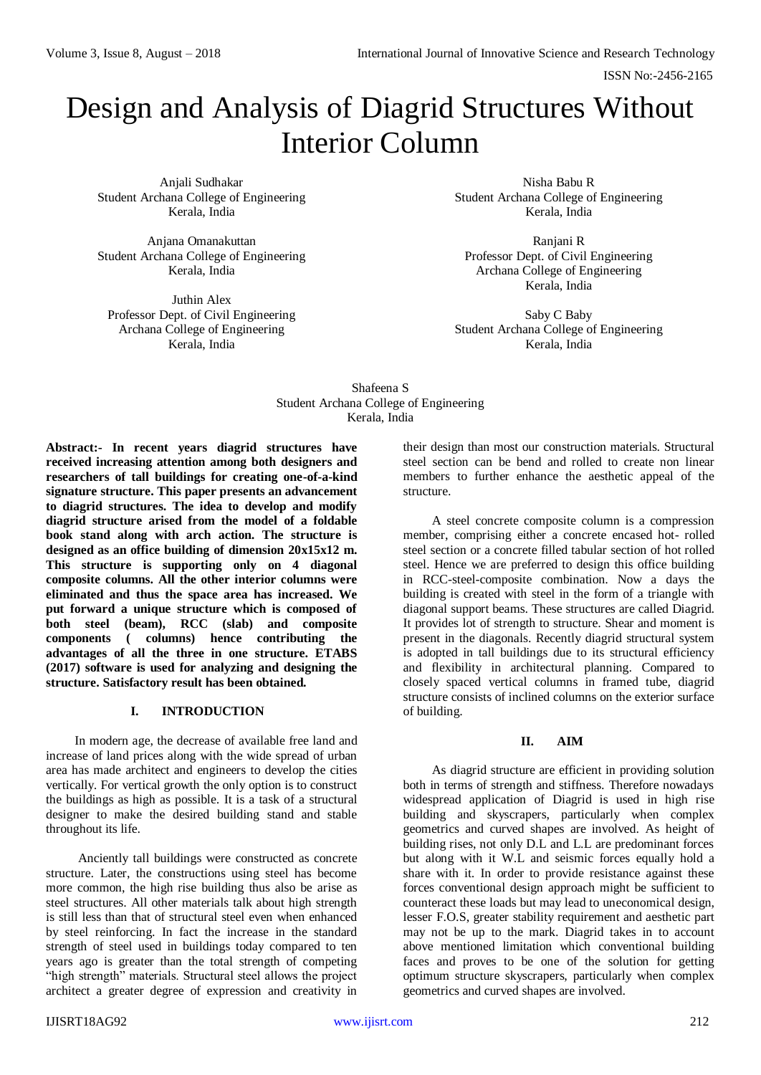# Design and Analysis of Diagrid Structures Without Interior Column

Anjali Sudhakar Student Archana College of Engineering Kerala, India

Anjana Omanakuttan Student Archana College of Engineering Kerala, India

Juthin Alex Professor Dept. of Civil Engineering Archana College of Engineering Kerala, India

Nisha Babu R Student Archana College of Engineering Kerala, India

Ranjani R Professor Dept. of Civil Engineering Archana College of Engineering Kerala, India

Saby C Baby Student Archana College of Engineering Kerala, India

# Shafeena S Student Archana College of Engineering Kerala, India

**Abstract:- In recent years diagrid structures have received increasing attention among both designers and researchers of tall buildings for creating one-of-a-kind signature structure. This paper presents an advancement to diagrid structures. The idea to develop and modify diagrid structure arised from the model of a foldable book stand along with arch action. The structure is designed as an office building of dimension 20x15x12 m. This structure is supporting only on 4 diagonal composite columns. All the other interior columns were eliminated and thus the space area has increased. We put forward a unique structure which is composed of both steel (beam), RCC (slab) and composite components ( columns) hence contributing the advantages of all the three in one structure. ETABS (2017) software is used for analyzing and designing the structure. Satisfactory result has been obtained.**

# **I. INTRODUCTION**

In modern age, the decrease of available free land and increase of land prices along with the wide spread of urban area has made architect and engineers to develop the cities vertically. For vertical growth the only option is to construct the buildings as high as possible. It is a task of a structural designer to make the desired building stand and stable throughout its life.

Anciently tall buildings were constructed as concrete structure. Later, the constructions using steel has become more common, the high rise building thus also be arise as steel structures. All other materials talk about high strength is still less than that of structural steel even when enhanced by steel reinforcing. In fact the increase in the standard strength of steel used in buildings today compared to ten years ago is greater than the total strength of competing "high strength" materials. Structural steel allows the project architect a greater degree of expression and creativity in

their design than most our construction materials. Structural steel section can be bend and rolled to create non linear members to further enhance the aesthetic appeal of the structure.

A steel concrete composite column is a compression member, comprising either a concrete encased hot- rolled steel section or a concrete filled tabular section of hot rolled steel. Hence we are preferred to design this office building in RCC-steel-composite combination. Now a days the building is created with steel in the form of a triangle with diagonal support beams. These structures are called Diagrid. It provides lot of strength to structure. Shear and moment is present in the diagonals. Recently diagrid structural system is adopted in tall buildings due to its structural efficiency and flexibility in architectural planning. Compared to closely spaced vertical columns in framed tube, diagrid structure consists of inclined columns on the exterior surface of building.

# **II. AIM**

As diagrid structure are efficient in providing solution both in terms of strength and stiffness. Therefore nowadays widespread application of Diagrid is used in high rise building and skyscrapers, particularly when complex geometrics and curved shapes are involved. As height of building rises, not only D.L and L.L are predominant forces but along with it W.L and seismic forces equally hold a share with it. In order to provide resistance against these forces conventional design approach might be sufficient to counteract these loads but may lead to uneconomical design, lesser F.O.S, greater stability requirement and aesthetic part may not be up to the mark. Diagrid takes in to account above mentioned limitation which conventional building faces and proves to be one of the solution for getting optimum structure skyscrapers, particularly when complex geometrics and curved shapes are involved.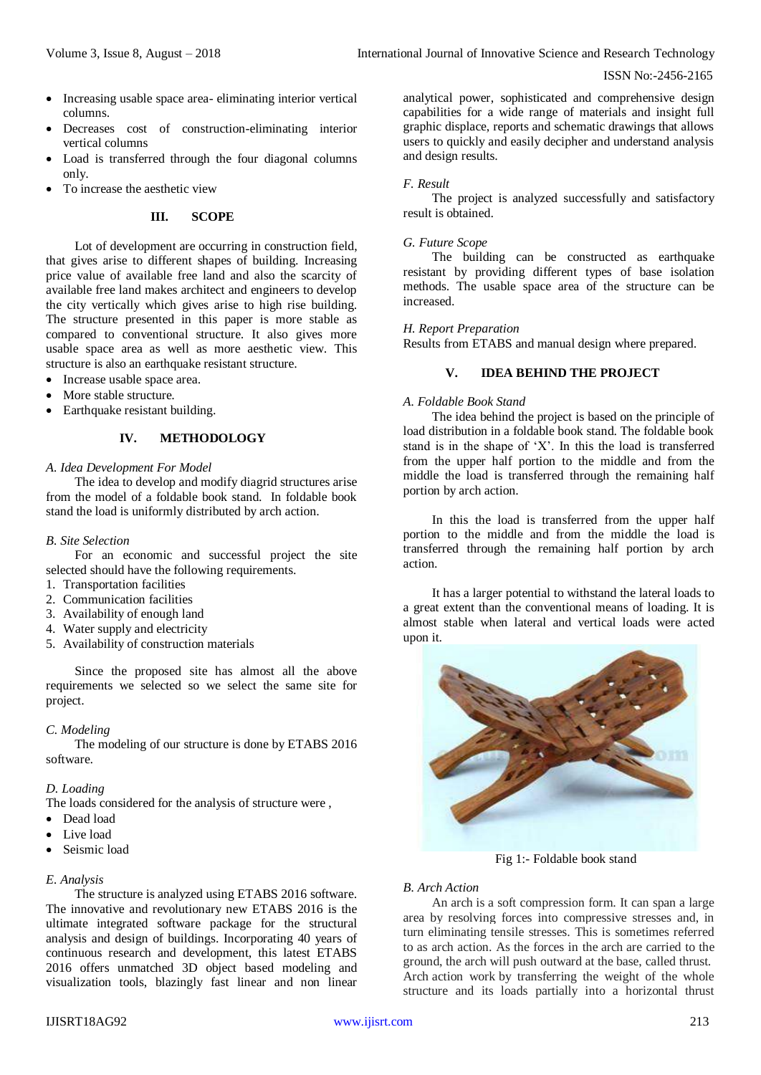- Increasing usable space area- eliminating interior vertical columns.
- Decreases cost of construction-eliminating interior vertical columns
- Load is transferred through the four diagonal columns only.
- To increase the aesthetic view

# **III. SCOPE**

Lot of development are occurring in construction field, that gives arise to different shapes of building. Increasing price value of available free land and also the scarcity of available free land makes architect and engineers to develop the city vertically which gives arise to high rise building. The structure presented in this paper is more stable as compared to conventional structure. It also gives more usable space area as well as more aesthetic view. This structure is also an earthquake resistant structure.

- Increase usable space area.
- More stable structure.
- Earthquake resistant building.

#### **IV. METHODOLOGY**

## *A. Idea Development For Model*

The idea to develop and modify diagrid structures arise from the model of a foldable book stand. In foldable book stand the load is uniformly distributed by arch action.

#### *B. Site Selection*

For an economic and successful project the site selected should have the following requirements.

- 1. Transportation facilities
- 2. Communication facilities
- 3. Availability of enough land
- 4. Water supply and electricity
- 5. Availability of construction materials

Since the proposed site has almost all the above requirements we selected so we select the same site for project.

#### *C. Modeling*

The modeling of our structure is done by ETABS 2016 software.

#### *D. Loading*

The loads considered for the analysis of structure were ,

- Dead load
- Live load
- Seismic load

#### *E. Analysis*

The structure is analyzed using ETABS 2016 software. The innovative and revolutionary new ETABS 2016 is the ultimate integrated software package for the structural analysis and design of buildings. Incorporating 40 years of continuous research and development, this latest ETABS 2016 offers unmatched 3D object based modeling and visualization tools, blazingly fast linear and non linear

analytical power, sophisticated and comprehensive design capabilities for a wide range of materials and insight full graphic displace, reports and schematic drawings that allows users to quickly and easily decipher and understand analysis and design results.

#### *F. Result*

The project is analyzed successfully and satisfactory result is obtained.

# *G. Future Scope*

The building can be constructed as earthquake resistant by providing different types of base isolation methods. The usable space area of the structure can be increased.

## *H. Report Preparation*

Results from ETABS and manual design where prepared.

## **V. IDEA BEHIND THE PROJECT**

# *A. Foldable Book Stand*

The idea behind the project is based on the principle of load distribution in a foldable book stand. The foldable book stand is in the shape of 'X'. In this the load is transferred from the upper half portion to the middle and from the middle the load is transferred through the remaining half portion by arch action.

In this the load is transferred from the upper half portion to the middle and from the middle the load is transferred through the remaining half portion by arch action.

It has a larger potential to withstand the lateral loads to a great extent than the conventional means of loading. It is almost stable when lateral and vertical loads were acted upon it.



Fig 1:- Foldable book stand

# *B. Arch Action*

An arch is a soft compression form. It can span a large area by resolving forces into compressive stresses and, in turn eliminating tensile stresses. This is sometimes referred to as arch action. As the forces in the arch are carried to the ground, the arch will push outward at the base, called thrust. Arch action work by transferring the weight of the whole structure and its loads partially into a horizontal thrust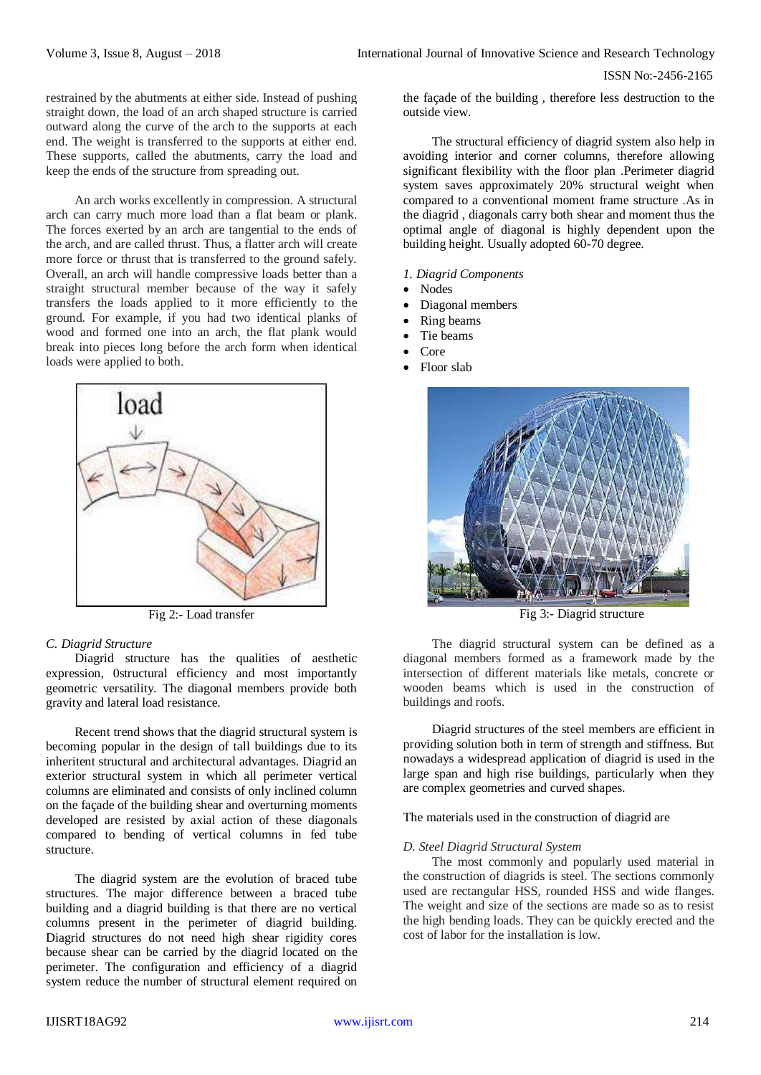ISSN No:-2456-2165

restrained by the abutments at either side. Instead of pushing straight down, the load of an arch shaped structure is carried outward along the curve of the arch to the supports at each end. The weight is transferred to the supports at either end. These supports, called the abutments, carry the load and keep the ends of the structure from spreading out.

An arch works excellently in compression. A structural arch can carry much more load than a flat beam or plank. The forces exerted by an arch are tangential to the ends of the arch, and are called thrust. Thus, a flatter arch will create more force or thrust that is transferred to the ground safely. Overall, an arch will handle compressive loads better than a straight structural member because of the way it safely transfers the loads applied to it more efficiently to the ground. For example, if you had two identical planks of wood and formed one into an arch, the flat plank would break into pieces long before the arch form when identical loads were applied to both.



Fig 2:- Load transfer

#### *C. Diagrid Structure*

Diagrid structure has the qualities of aesthetic expression, 0structural efficiency and most importantly geometric versatility. The diagonal members provide both gravity and lateral load resistance.

Recent trend shows that the diagrid structural system is becoming popular in the design of tall buildings due to its inheritent structural and architectural advantages. Diagrid an exterior structural system in which all perimeter vertical columns are eliminated and consists of only inclined column on the façade of the building shear and overturning moments developed are resisted by axial action of these diagonals compared to bending of vertical columns in fed tube structure.

The diagrid system are the evolution of braced tube structures. The major difference between a braced tube building and a diagrid building is that there are no vertical columns present in the perimeter of diagrid building. Diagrid structures do not need high shear rigidity cores because shear can be carried by the diagrid located on the perimeter. The configuration and efficiency of a diagrid system reduce the number of structural element required on

the façade of the building , therefore less destruction to the outside view.

The structural efficiency of diagrid system also help in avoiding interior and corner columns, therefore allowing significant flexibility with the floor plan .Perimeter diagrid system saves approximately 20% structural weight when compared to a conventional moment frame structure .As in the diagrid , diagonals carry both shear and moment thus the optimal angle of diagonal is highly dependent upon the building height. Usually adopted 60-70 degree.

- *1. Diagrid Components*
- Nodes
- Diagonal members
- Ring beams
- Tie beams
- Core
- Floor slab



Fig 3:- Diagrid structure

The diagrid structural system can be defined as a diagonal members formed as a framework made by the intersection of different materials like metals, concrete or wooden beams which is used in the construction of buildings and roofs.

Diagrid structures of the steel members are efficient in providing solution both in term of strength and stiffness. But nowadays a widespread application of diagrid is used in the large span and high rise buildings, particularly when they are complex geometries and curved shapes.

The materials used in the construction of diagrid are

### *D. Steel Diagrid Structural System*

The most commonly and popularly used material in the construction of diagrids is steel. The sections commonly used are rectangular HSS, rounded HSS and wide flanges. The weight and size of the sections are made so as to resist the high bending loads. They can be quickly erected and the cost of labor for the installation is low.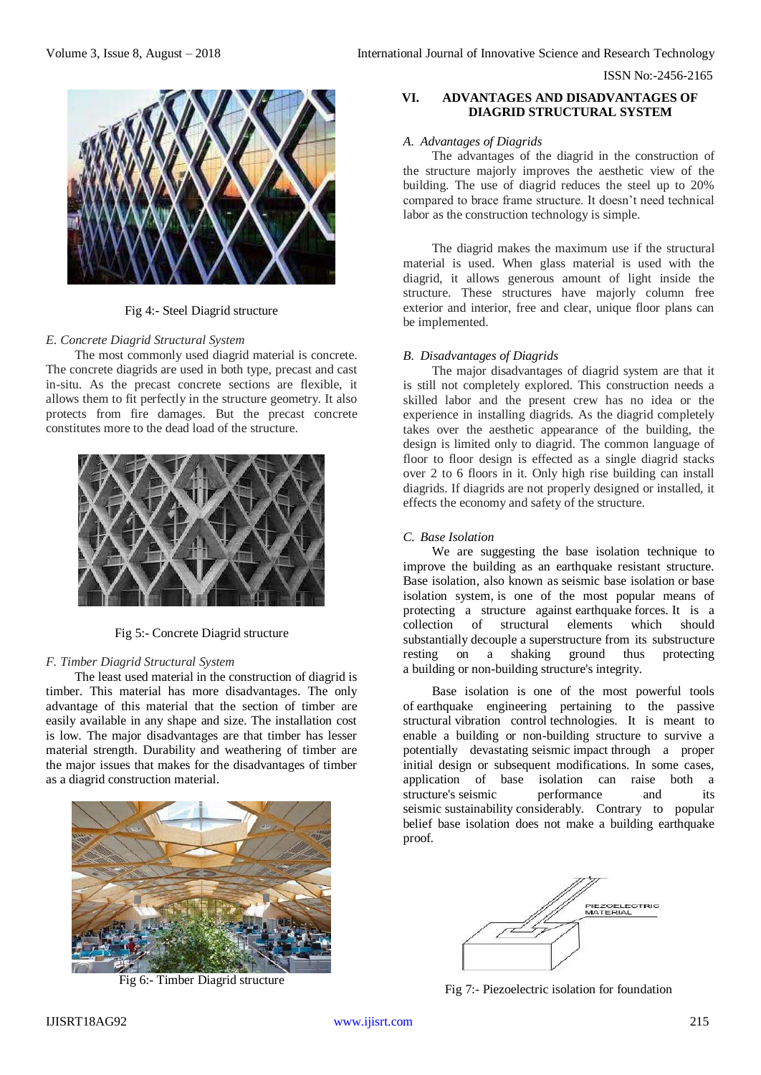

Fig 4:- Steel Diagrid structure

#### *E. Concrete Diagrid Structural System*

The most commonly used diagrid material is concrete. The concrete diagrids are used in both type, precast and cast in-situ. As the precast concrete sections are flexible, it allows them to fit perfectly in the structure geometry. It also protects from fire damages. But the precast concrete constitutes more to the dead load of the structure.



Fig 5:- Concrete Diagrid structure

#### *F. Timber Diagrid Structural System*

The least used material in the construction of diagrid is timber. This material has more disadvantages. The only advantage of this material that the section of timber are easily available in any shape and size. The installation cost is low. The major disadvantages are that timber has lesser material strength. Durability and weathering of timber are the major issues that makes for the disadvantages of timber as a diagrid construction material.



Fig 6:- Timber Diagrid structure

# **VI. ADVANTAGES AND DISADVANTAGES OF DIAGRID STRUCTURAL SYSTEM**

#### *A. Advantages of Diagrids*

The advantages of the diagrid in the construction of the structure majorly improves the aesthetic view of the building. The use of diagrid reduces the steel up to 20% compared to brace frame structure. It doesn't need technical labor as the construction technology is simple.

The diagrid makes the maximum use if the structural material is used. When glass material is used with the diagrid, it allows generous amount of light inside the structure. These structures have majorly column free exterior and interior, free and clear, unique floor plans can be implemented.

# *B. Disadvantages of Diagrids*

The major disadvantages of diagrid system are that it is still not completely explored. This construction needs a skilled labor and the present crew has no idea or the experience in installing diagrids. As the diagrid completely takes over the aesthetic appearance of the building, the design is limited only to diagrid. The common language of floor to floor design is effected as a single diagrid stacks over 2 to 6 floors in it. Only high rise building can install diagrids. If diagrids are not properly designed or installed, it effects the economy and safety of the structure.

# *C. Base Isolation*

We are suggesting the base isolation technique to improve the building as an earthquake resistant structure. Base isolation, also known as seismic base isolation or base isolation system, is one of the most popular means of protecting a structure against [earthquake](https://en.wikipedia.org/wiki/Earthquake) forces. It is a collection of structural elements which should substantially [decouple](https://en.wikipedia.org/wiki/Coupling_(physics)) a [superstructure](https://en.wikipedia.org/wiki/Superstructure) from its substructure resting on a shaking ground thus protecting a [building](https://en.wikipedia.org/wiki/Building) or [non-building structure's](https://en.wikipedia.org/wiki/Non-building_structure) integrity.

Base isolation is one of the most powerful tools of [earthquake engineering](https://en.wikipedia.org/wiki/Earthquake_engineering) pertaining to the passive structural [vibration control](https://en.wikipedia.org/wiki/Vibration_control) technologies. It is meant to enable a building or non-building structure to survive a potentially devastating [seismic](https://en.wikipedia.org/wiki/Seismic) [impact](https://en.wikipedia.org/wiki/Impact_(mechanics)) through a proper initial design or subsequent modifications. In some cases, application of base isolation can raise both a structure's [seismic performance a](https://en.wikipedia.org/wiki/Seismic_performance)nd its [seismic](https://en.wikipedia.org/wiki/Seismic) [sustainability](https://en.wikipedia.org/wiki/Sustainability) considerably. Contrary to popular belief base isolation does not make a building earthquake proof.



Fig 7:- Piezoelectric isolation for foundation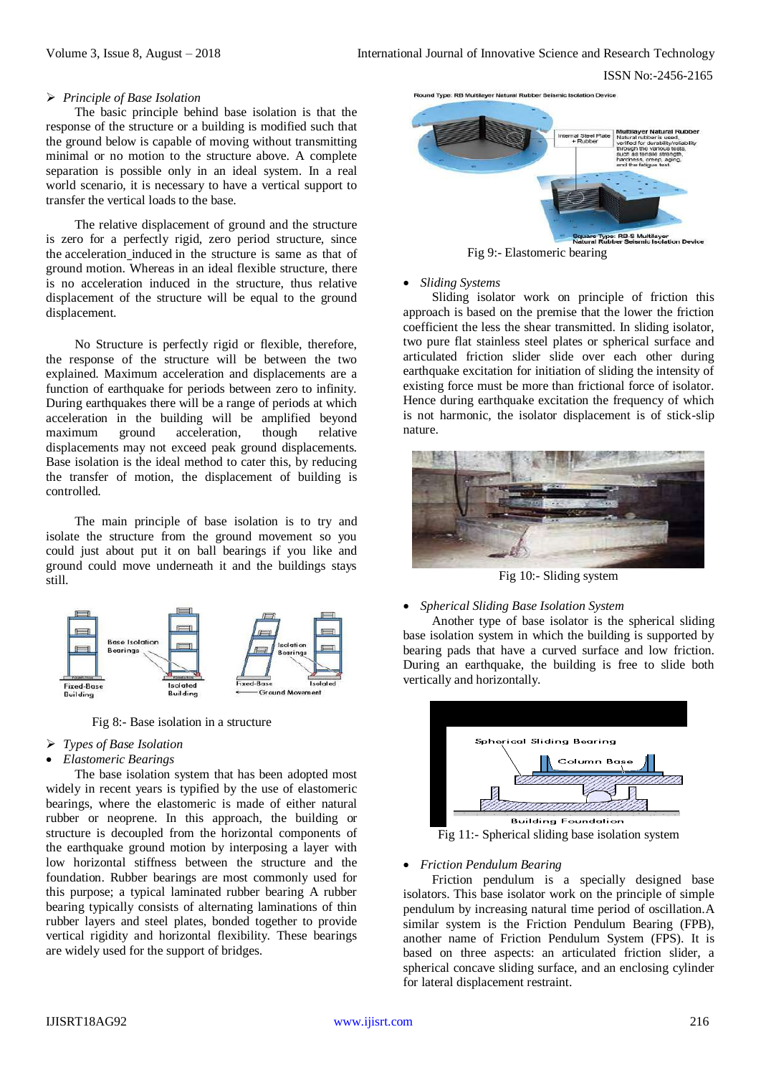ISSN No:-2456-2165

#### *Principle of Base Isolation*

The basic principle behind base isolation is that the response of the structure or a building is modified such that the ground below is capable of moving without transmitting minimal or no motion to the structure above. A complete separation is possible only in an ideal system. In a real world scenario, it is necessary to have a vertical support to transfer the vertical loads to the base.

The relative displacement of ground and the structure is zero for a perfectly rigid, zero period structure, since the [acceleration](https://civildigital.com/earthquakes/) induced in the structure is same as that of ground motion. Whereas in an ideal flexible structure, there is no acceleration induced in the structure, thus relative displacement of the structure will be equal to the ground displacement.

No Structure is perfectly rigid or flexible, therefore, the response of the structure will be between the two explained. Maximum acceleration and displacements are a function of earthquake for periods between zero to infinity. During earthquakes there will be a range of periods at which acceleration in the building will be amplified beyond maximum ground acceleration, though relative displacements may not exceed peak ground displacements. Base isolation is the ideal method to cater this, by reducing the transfer of motion, the displacement of building is controlled.

The main principle of base isolation is to try and isolate the structure from the ground movement so you could just about put it on ball bearings if you like and ground could move underneath it and the buildings stays still.



Fig 8:- Base isolation in a structure

- *Types of Base Isolation*
- *Elastomeric Bearings*

The base isolation system that has been adopted most widely in recent years is typified by the use of elastomeric bearings, where the elastomeric is made of either natural rubber or neoprene. In this approach, the building or structure is decoupled from the horizontal components of the earthquake ground motion by interposing a layer with low horizontal stiffness between the structure and the foundation. Rubber bearings are most commonly used for this purpose; a typical laminated rubber bearing A rubber bearing typically consists of alternating laminations of thin rubber layers and steel plates, bonded together to provide vertical rigidity and horizontal flexibility. These bearings are widely used for the support of bridges.



*Sliding Systems* 

Sliding isolator work on principle of friction this approach is based on the premise that the lower the friction coefficient the less the shear transmitted. In sliding isolator, two pure flat stainless steel plates or spherical surface and articulated friction slider slide over each other during earthquake excitation for initiation of sliding the intensity of existing force must be more than frictional force of isolator. Hence during earthquake excitation the frequency of which is not harmonic, the isolator displacement is of stick-slip nature.



Fig 10:- Sliding system

# *Spherical Sliding Base Isolation System*

Another type of base isolator is the spherical sliding base isolation system in which the building is supported by bearing pads that have a curved surface and low friction. During an earthquake, the building is free to slide both vertically and horizontally.



 $\overline{Fig}$  11:- Spherical sliding base isolation system

# *Friction Pendulum Bearing*

Friction pendulum is a specially designed base isolators. This base isolator work on the principle of simple pendulum by increasing natural time period of oscillation.A similar system is the Friction Pendulum Bearing (FPB), another name of Friction Pendulum System (FPS). It is based on three aspects: an articulated friction slider, a spherical concave sliding surface, and an enclosing cylinder for lateral displacement restraint.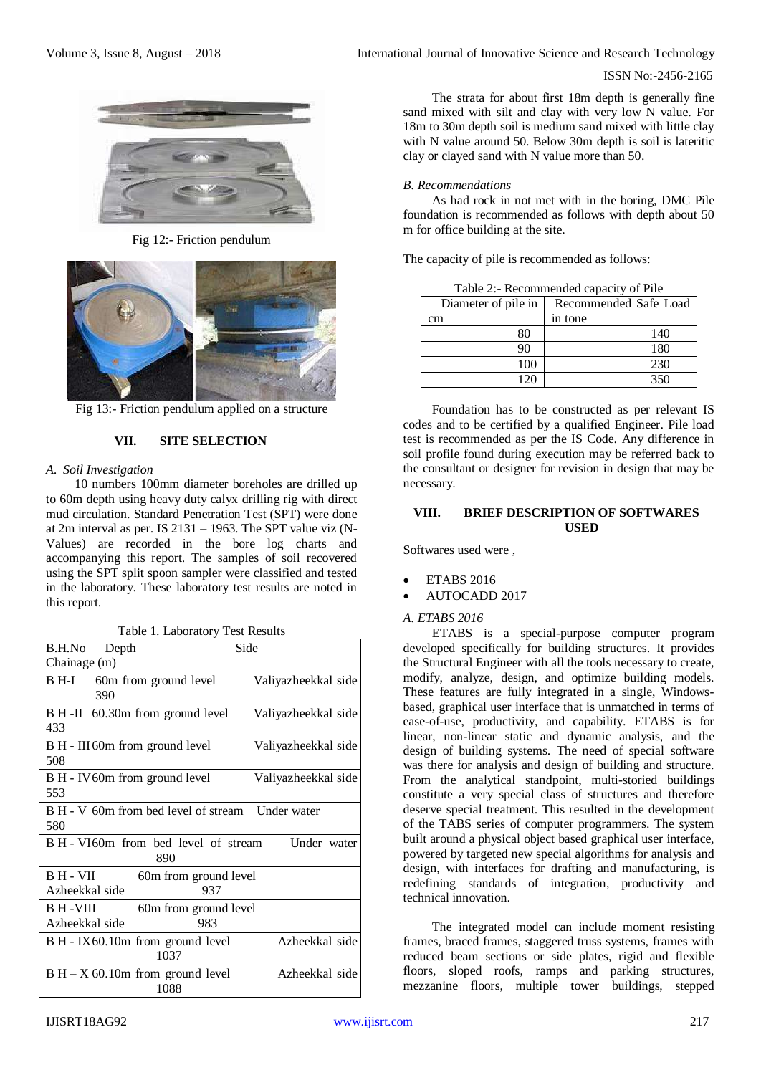

Fig 12:- Friction pendulum



Fig 13:- Friction pendulum applied on a structure

# **VII. SITE SELECTION**

# *A. Soil Investigation*

10 numbers 100mm diameter boreholes are drilled up to 60m depth using heavy duty calyx drilling rig with direct mud circulation. Standard Penetration Test (SPT) were done at 2m interval as per. IS 2131 – 1963. The SPT value viz (N-Values) are recorded in the bore log charts and accompanying this report. The samples of soil recovered using the SPT split spoon sampler were classified and tested in the laboratory. These laboratory test results are noted in this report.

|  | Table 1. Laboratory Test Results |  |  |
|--|----------------------------------|--|--|
|--|----------------------------------|--|--|

|                                                            | raore 1. Laoorator 1         |                     |  |
|------------------------------------------------------------|------------------------------|---------------------|--|
| B.H.No Depth                                               |                              | Side                |  |
| Chainage (m)                                               |                              |                     |  |
| B H-I<br>390                                               | 60m from ground level        | Valiyazheekkal side |  |
| B H-II 60.30m from ground level<br>433                     |                              | Valiyazheekkal side |  |
| B H - III 60m from ground level<br>508                     |                              | Valiyazheekkal side |  |
| B H - IV 60m from ground level<br>553                      |                              | Valiyazheekkal side |  |
| B H - V 60m from bed level of stream Under water<br>580    |                              |                     |  |
| B H - VI60m from bed level of stream<br>Under water<br>890 |                              |                     |  |
| B H - VII<br>Azheekkal side                                | 60m from ground level<br>937 |                     |  |
| B H - VIII                                                 | 60m from ground level        |                     |  |
| Azheekkal side                                             | 983                          |                     |  |
| B H - IX60.10m from ground level                           | 1037                         | Azheekkal side      |  |
| $B H - X$ 60.10m from ground level                         | 1088                         | Azheekkal side      |  |

The strata for about first 18m depth is generally fine sand mixed with silt and clay with very low N value. For 18m to 30m depth soil is medium sand mixed with little clay with N value around 50. Below 30m depth is soil is lateritic clay or clayed sand with N value more than 50.

# *B. Recommendations*

As had rock in not met with in the boring, DMC Pile foundation is recommended as follows with depth about 50 m for office building at the site.

The capacity of pile is recommended as follows:

| Table 2:- Recommended capacity of Pile       |         |  |  |
|----------------------------------------------|---------|--|--|
| Diameter of pile in<br>Recommended Safe Load |         |  |  |
| cm                                           | in tone |  |  |
| 80<br>140                                    |         |  |  |
| 90<br>180                                    |         |  |  |
| 100                                          | 230     |  |  |
|                                              |         |  |  |

Foundation has to be constructed as per relevant IS codes and to be certified by a qualified Engineer. Pile load test is recommended as per the IS Code. Any difference in soil profile found during execution may be referred back to the consultant or designer for revision in design that may be necessary.

# **VIII. BRIEF DESCRIPTION OF SOFTWARES USED**

Softwares used were ,

- ETABS 2016
- AUTOCADD 2017

# *A. ETABS 2016*

ETABS is a special-purpose computer program developed specifically for building structures. It provides the Structural Engineer with all the tools necessary to create, modify, analyze, design, and optimize building models. These features are fully integrated in a single, Windowsbased, graphical user interface that is unmatched in terms of ease-of-use, productivity, and capability. ETABS is for linear, non-linear static and dynamic analysis, and the design of building systems. The need of special software was there for analysis and design of building and structure. From the analytical standpoint, multi-storied buildings constitute a very special class of structures and therefore deserve special treatment. This resulted in the development of the TABS series of computer programmers. The system built around a physical object based graphical user interface, powered by targeted new special algorithms for analysis and design, with interfaces for drafting and manufacturing, is redefining standards of integration, productivity and technical innovation.

The integrated model can include moment resisting frames, braced frames, staggered truss systems, frames with reduced beam sections or side plates, rigid and flexible floors, sloped roofs, ramps and parking structures, mezzanine floors, multiple tower buildings, stepped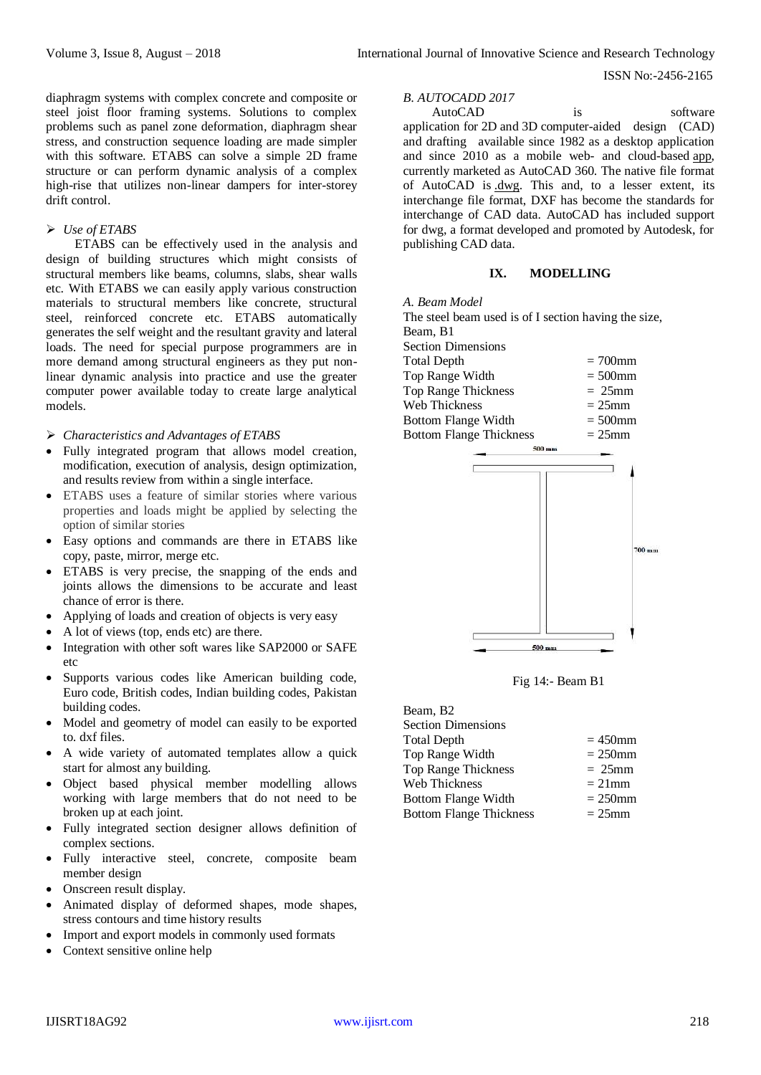diaphragm systems with complex concrete and composite or steel joist floor framing systems. Solutions to complex problems such as panel zone deformation, diaphragm shear stress, and construction sequence loading are made simpler with this software. ETABS can solve a simple 2D frame structure or can perform dynamic analysis of a complex high-rise that utilizes non-linear dampers for inter-storey drift control.

# *Use of ETABS*

ETABS can be effectively used in the analysis and design of building structures which might consists of structural members like beams, columns, slabs, shear walls etc. With ETABS we can easily apply various construction materials to structural members like concrete, structural steel, reinforced concrete etc. ETABS automatically generates the self weight and the resultant gravity and lateral loads. The need for special purpose programmers are in more demand among structural engineers as they put nonlinear dynamic analysis into practice and use the greater computer power available today to create large analytical models.

*Characteristics and Advantages of ETABS*

- Fully integrated program that allows model creation, modification, execution of analysis, design optimization, and results review from within a single interface.
- ETABS uses a feature of similar stories where various properties and loads might be applied by selecting the option of similar stories
- Easy options and commands are there in ETABS like copy, paste, mirror, merge etc.
- ETABS is very precise, the snapping of the ends and joints allows the dimensions to be accurate and least chance of error is there.
- Applying of loads and creation of objects is very easy
- A lot of views (top, ends etc) are there.
- Integration with other soft wares like SAP2000 or SAFE etc
- Supports various codes like American building code, Euro code, British codes, Indian building codes, Pakistan building codes.
- Model and geometry of model can easily to be exported to. dxf files.
- A wide variety of automated templates allow a quick start for almost any building.
- Object based physical member modelling allows working with large members that do not need to be broken up at each joint.
- Fully integrated section designer allows definition of complex sections.
- Fully interactive steel, concrete, composite beam member design
- Onscreen result display.
- Animated display of deformed shapes, mode shapes, stress contours and time history results
- Import and export models in commonly used formats
- Context sensitive online help

*B. AUTOCADD 2017* AutoCAD is software

[application](http://en.wikipedia.org/wiki/Software_application) for [2D](http://en.wikipedia.org/wiki/2D_computer_graphics) and [3D](http://en.wikipedia.org/wiki/3D_computer_graphics) [computer-aided design \(CAD\)](http://en.wikipedia.org/wiki/Computer-aided_design) and [drafting](http://en.wikipedia.org/wiki/Technical_drawing) available since 1982 as a desktop application and since 2010 as a mobile web- and cloud-based [app,](http://en.wikipedia.org/wiki/Application_software) currently marketed as AutoCAD 360. The native file format of AutoCAD is [.dwg.](http://en.wikipedia.org/wiki/.dwg) This and, to a lesser extent, its interchange file format, DXF has become the standards for interchange of CAD data. AutoCAD has included support for dwg, a format developed and promoted by Autodesk, for publishing CAD data.

## **IX. MODELLING**

*A. Beam Model*

The steel beam used is of I section having the size, Beam, B1 Section Dimensions Total Depth  $= 700$ mm  $Top Range Width = 500mm$  $Top Range Thickness$  =  $25mm$ Web Thickness  $= 25$ mm Bottom Flange Width  $= 500$ mm Bottom Flange Thickness  $= 25$ mm



Fig 14:- Beam B1

| Beam, B <sub>2</sub>           |            |
|--------------------------------|------------|
| <b>Section Dimensions</b>      |            |
| <b>Total Depth</b>             | $=450$ mm  |
| Top Range Width                | $= 250$ mm |
| <b>Top Range Thickness</b>     | $= 25$ mm  |
| Web Thickness                  | $= 21$ mm  |
| Bottom Flange Width            | $= 250$ mm |
| <b>Bottom Flange Thickness</b> | $= 25$ mm  |
|                                |            |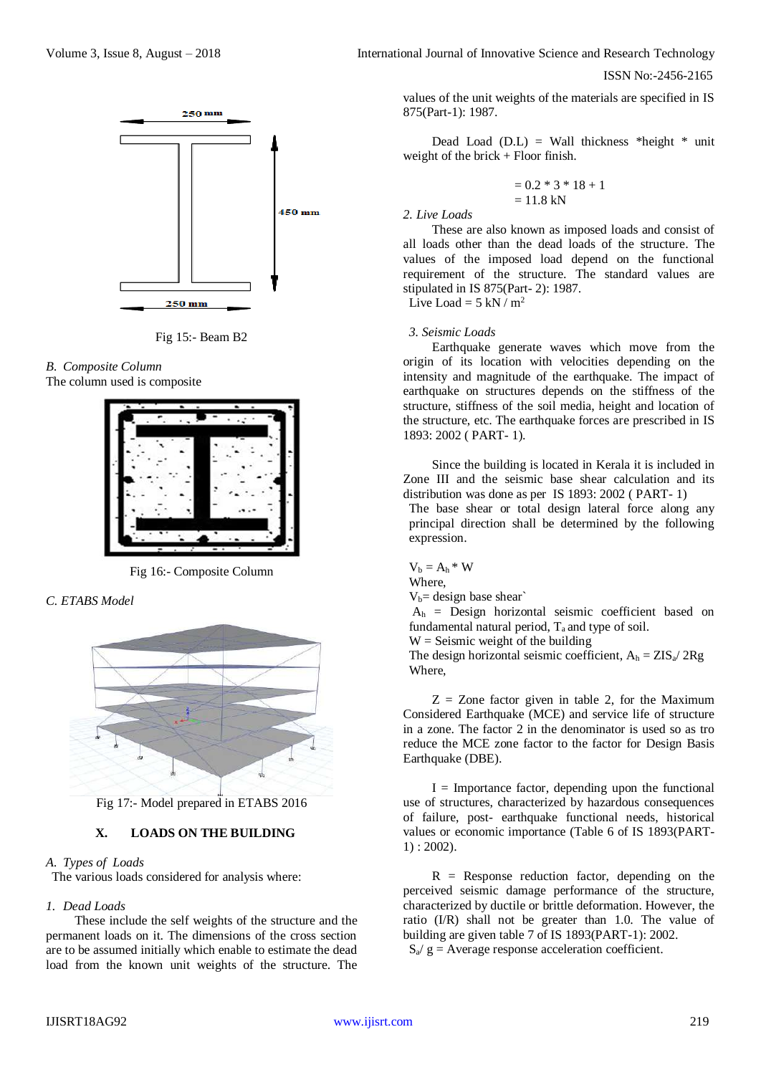$250 \text{ mm}$  $450$  mm  $250$  mm

Fig 15:- Beam B2

#### *B. Composite Column* The column used is composite



Fig 16:- Composite Column

*C. ETABS Model*



Fig 17:- Model prepared in ETABS 2016

# **X. LOADS ON THE BUILDING**

# *A. Types of Loads*

The various loads considered for analysis where:

# *1. Dead Loads*

These include the self weights of the structure and the permanent loads on it. The dimensions of the cross section are to be assumed initially which enable to estimate the dead load from the known unit weights of the structure. The

Volume 3, Issue 8, August – 2018 **International Journal of Innovative Science and Research Technology** 

ISSN No:-2456-2165

values of the unit weights of the materials are specified in IS 875(Part-1): 1987.

Dead Load (D.L) = Wall thickness \*height \* unit weight of the brick  $+$  Floor finish.

$$
= 0.2 * 3 * 18 + 1
$$
  
= 11.8 kN

*2. Live Loads*

These are also known as imposed loads and consist of all loads other than the dead loads of the structure. The values of the imposed load depend on the functional requirement of the structure. The standard values are stipulated in IS 875(Part- 2): 1987. Live Load =  $5 \text{ kN} / \text{m}^2$ 

## *3. Seismic Loads*

Earthquake generate waves which move from the origin of its location with velocities depending on the intensity and magnitude of the earthquake. The impact of earthquake on structures depends on the stiffness of the structure, stiffness of the soil media, height and location of the structure, etc. The earthquake forces are prescribed in IS 1893: 2002 ( PART- 1).

Since the building is located in Kerala it is included in Zone III and the seismic base shear calculation and its distribution was done as per IS 1893: 2002 ( PART- 1)

The base shear or total design lateral force along any principal direction shall be determined by the following expression.

 $V_b = A_h * W$ Where,

 $V_b$ = design base shear

 $A_h$  = Design horizontal seismic coefficient based on fundamental natural period,  $T_a$  and type of soil.

 $W =$  Seismic weight of the building

The design horizontal seismic coefficient,  $A_h = ZIS_a / 2Rg$ Where,

 $Z = Z$ one factor given in table 2, for the Maximum Considered Earthquake (MCE) and service life of structure in a zone. The factor 2 in the denominator is used so as tro reduce the MCE zone factor to the factor for Design Basis Earthquake (DBE).

 $I =$  Importance factor, depending upon the functional use of structures, characterized by hazardous consequences of failure, post- earthquake functional needs, historical values or economic importance (Table 6 of IS 1893(PART-1) : 2002).

 $R$  = Response reduction factor, depending on the perceived seismic damage performance of the structure, characterized by ductile or brittle deformation. However, the ratio (I/R) shall not be greater than 1.0. The value of building are given table 7 of IS 1893(PART-1): 2002.

 $S_a$ / g = Average response acceleration coefficient.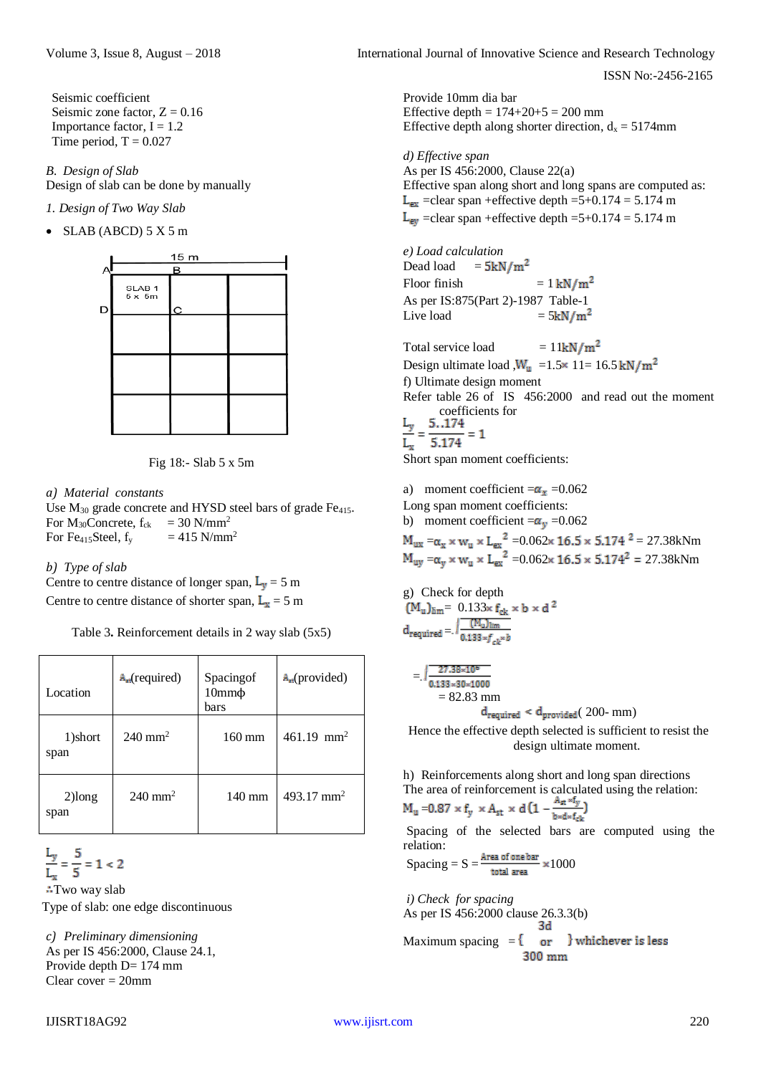Seismic coefficient Seismic zone factor,  $Z = 0.16$ Importance factor,  $I = 1.2$ Time period,  $T = 0.027$ 

*B. Design of Slab* Design of slab can be done by manually

*1. Design of Two Way Slab* 

 $\bullet$  SLAB (ABCD) 5 X 5 m





*a) Material constants*

Use  $M_{30}$  grade concrete and HYSD steel bars of grade Fe<sub>415</sub>. For  $M_{30}$ Concrete,  $f_{ck}$  = 30 N/mm<sup>2</sup> For Fe<sub>415</sub>Steel,  $f_y$  = 415 N/mm<sup>2</sup>

*b) Type of slab*

Centre to centre distance of longer span,  $L_v = 5$  m Centre to centre distance of shorter span,  $L_x = 5$  m

Table 3**.** Reinforcement details in 2 way slab (5x5)

| Location          | $A_{rt}$ (required)   | Spacingof<br>$10mm\phi$<br>bars | $A_{\rm rt}$ (provided) |
|-------------------|-----------------------|---------------------------------|-------------------------|
| 1)short<br>span   | $240 \text{ mm}^2$    | $160 \text{ mm}$                | 461.19 mm <sup>2</sup>  |
| $2)$ long<br>span | $240$ mm <sup>2</sup> | $140 \text{ mm}$                | 493.17 mm <sup>2</sup>  |

 $\frac{L_y}{L_x} = \frac{5}{5} = 1 < 2$ 

**∴Two way slab** Type of slab: one edge discontinuous

*c) Preliminary dimensioning* As per IS 456:2000, Clause 24.1, Provide depth D= 174 mm Clear cover = 20mm

Volume 3, Issue 8, August – 2018 **International Journal of Innovative Science and Research Technology** 

ISSN No:-2456-2165

Provide 10mm dia bar Effective depth =  $174+20+5 = 200$  mm Effective depth along shorter direction,  $d_x = 5174$ mm

*d) Effective span* As per IS 456:2000, Clause 22(a) Effective span along short and long spans are computed as:  $L_{ex}$  =clear span +effective depth =5+0.174 = 5.174 m  $L_{\text{ev}}$  =clear span +effective depth =5+0.174 = 5.174 m

*e) Load calculation* Dead load  $=5kN/m^2$ Floor finish  $= 1 \text{ kN/m}^2$ As per IS:875(Part 2)-1987 Table-1 Live load  $= 5kN/m^2$ 

Total service load  $= 11 \text{kN/m}^2$ Design ultimate load , $W_u$  =1.5 × 11= 16.5 kN/m<sup>2</sup> f) Ultimate design moment Refer table 26 of IS 456:2000 and read out the moment  $\frac{L_y}{L_x} = \frac{5.174}{5.174} = 1$ 

Short span moment coefficients:

a) moment coefficient  $=\alpha_x = 0.062$ Long span moment coefficients: b) moment coefficient  $=\alpha_v = 0.062$  $=\alpha_x \times w_u \times L_{ex}^2 = 0.062 \times 16.5 \times 5.174^2 = 27.38 \text{kNm}$  $=\alpha_v \times w_u \times L_{ex}^2 = 0.062 \times 16.5 \times 5.174^2 = 27.38 \text{kNm}$ 

g) Check for depth  $= 0.133$ =

$$
= \sqrt{\frac{27.38 \times 10^6}{0.133 \times 30 \times 1000}}
$$
  
= 82.83 mm  
d<sub>required</sub> < d<sub>provided</sub> ( 200- mm)

Hence the effective depth selected is sufficient to resist the design ultimate moment.

h) Reinforcements along short and long span directions The area of reinforcement is calculated using the relation:

$$
M_u = 0.87 \times f_y \times A_{st} \times d \left( 1 - \frac{A_{st} \times 1_y}{b \times d \times f_{cb}} \right)
$$

Spacing of the selected bars are computed using the relation:

$$
Spacing = S = \frac{\text{Area of one bar}}{\text{total area}} \times 1000
$$

*i) Check for spacing* As per IS 456:2000 clause 26.3.3(b) 3d Maximum spacing  $=$   $\{$ or } whichever is less 300 mm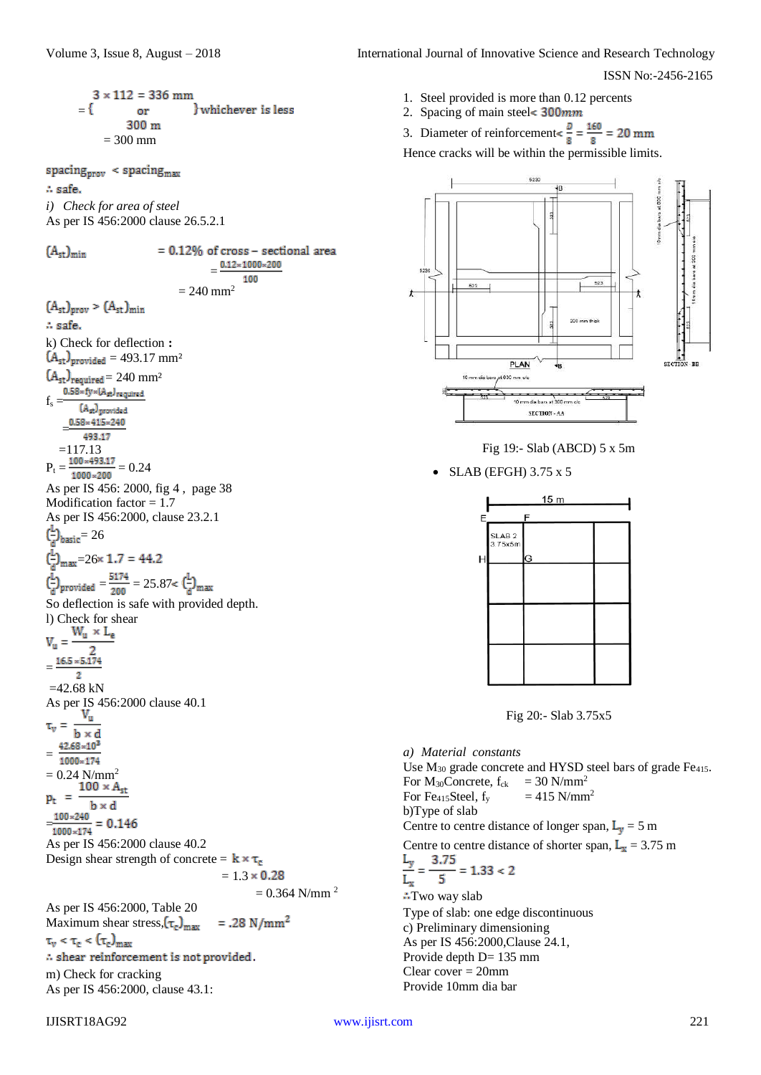$$
= \begin{cases} 3 \times 112 = 336 \text{ mm} \\ \text{or} \qquad \text{} \end{cases}
$$
  
= 300 m  
= 300 mm

spacing $_{\text{prov}}$  < spacing $_{\text{max}}$ .. safe. *i) Check for area of steel*

As per IS 456:2000 clause 26.5.2.1  $= 0.12\%$  of cross - sectional area  $(A<sub>st</sub>)<sub>min</sub>$  $=$ 100  $= 240$  mm<sup>2</sup>  $(A<sub>st</sub>)<sub>prov</sub> > (A<sub>st</sub>)<sub>min</sub>$ .. safe. k) Check for deflection **:**  $(A<sub>st</sub>)<sub>provided</sub> = 493.17 mm<sup>2</sup>$  $\text{(A}_{\text{st}})_{\substack{\text{required} \\ \text{0.58}\times \text{fy} \times \text{(A}_{\text{st}})_{\text{required}}}} = 240 \ \mathrm{mm}^2$  $f<sub>s</sub>$  = (Ast) provided = 493.17  $=117.13$  $P_t = \frac{100 * 493.17}{1000 * 200} = 0.24$ As per IS 456: 2000, fig 4 , page 38 Modification factor  $= 1.7$ As per IS 456:2000, clause 23.2.1  $\left(\frac{L}{a}\right)_{\text{basic}} = 26$  $\left(\frac{L}{a}\right)_{\text{max}} = 26 \times 1.7 = 44.2$  $\left(\frac{L}{d}\right)$  provided  $=\frac{5174}{200} = 25.87 < \left(\frac{L}{d}\right)_{\text{max}}$ So deflection is safe with provided depth. l) Check for shear<br> $W_u \times L_e$  $V_{\rm m} =$  $\overline{2}$ =  $\overline{2}$  $=42.68$  kN As per IS 456:2000 clause 40.1 Vu  $\tau_y =$  $b \times d$  $42.68 \times 10^3$ = 1000×174  $= 0.24$  N/mm<sup>2</sup><br>**100**  $\times$  **A**<sub>st</sub>  $=$   $\overline{ }$  $p_t$  $b \times d$  $\frac{100 \times 240}{1000 \times 174} = 0.146$ As per IS 456:2000 clause 40.2  $= 1.3$ 

Design shear strength of concrete =  $\mathbf{k} \times \tau_c$ 

$$
= 1.3 \times 0.28
$$

 $= 0.364$  N/mm<sup>2</sup>

As per IS 456:2000, Table 20 Maximum shear stress,  $(\tau_c)_{\text{max}}$  $=.28 \text{ N/mm}^2$  $\tau_v < \tau_c < (\tau_c)_{max}$  $\therefore$  shear reinforcement is not provided. m) Check for cracking As per IS 456:2000, clause 43.1:

- 1. Steel provided is more than 0.12 percents
- 2. Spacing of main steel< 300mm

3. Diameter of reinforcement $\leq \frac{D}{8} = \frac{160}{8} = 20$  mm

Hence cracks will be within the permissible limits.





 $\bullet$  SLAB (EFGH) 3.75 x 5

|   |                              | 15 <sub>m</sub> |  |
|---|------------------------------|-----------------|--|
| E |                              | F               |  |
|   | SLAB <sub>2</sub><br>3.75x5m | G               |  |
|   |                              |                 |  |
|   |                              |                 |  |
|   |                              |                 |  |
|   |                              |                 |  |
|   |                              |                 |  |

Fig 20:- Slab 3.75x5

*a) Material constants* Use  $M_{30}$  grade concrete and HYSD steel bars of grade Fe<sub>415</sub>. For  $M_{30}$ Concrete,  $f_{ck}$  = 30 N/mm<sup>2</sup> For Fe<sub>415</sub>Steel,  $f_y$  = 415 N/mm<sup>2</sup> b)Type of slab Centre to centre distance of longer span,  $L_v = 5$  m Centre to centre distance of shorter span,  $L_x = 3.75$  m 3.75  $= 1.33 < 2$  $\overline{\phantom{a}}$  $L_x$ :Two way slab Type of slab: one edge discontinuous c) Preliminary dimensioning As per IS 456:2000,Clause 24.1, Provide depth D= 135 mm Clear cover = 20mm Provide 10mm dia bar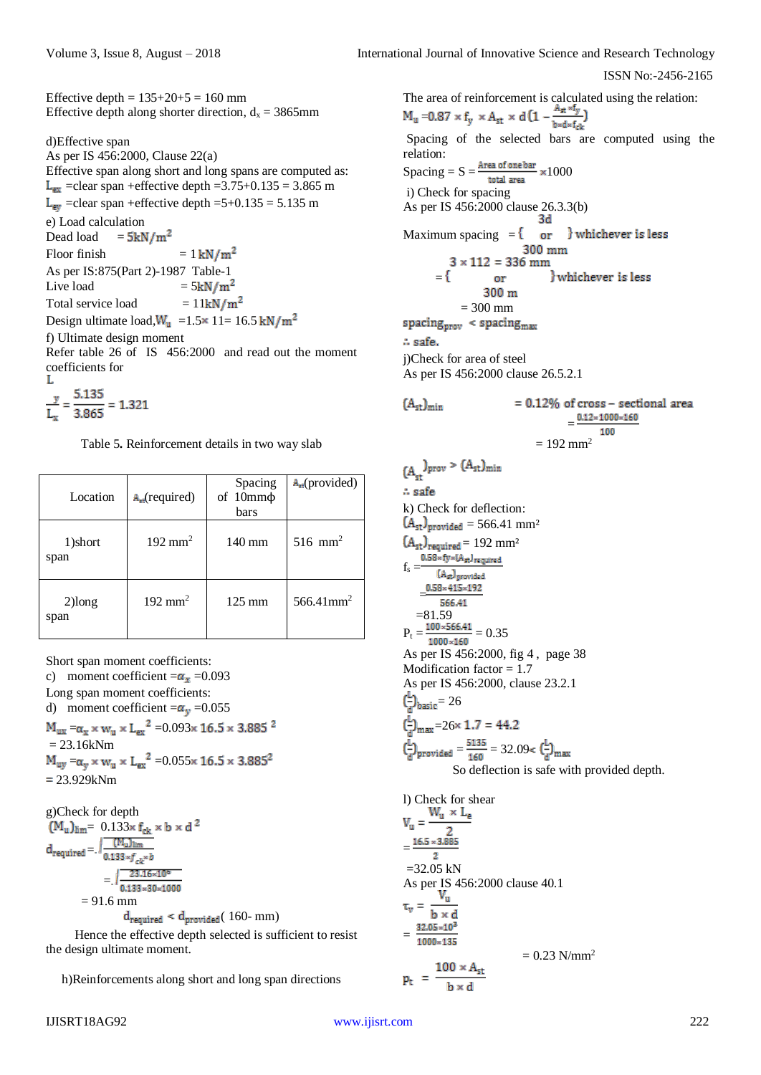Effective depth =  $135+20+5 = 160$  mm Effective depth along shorter direction,  $d_x = 3865$ mm

d)Effective span

As per IS 456:2000, Clause 22(a) Effective span along short and long spans are computed as:  $L_{ex}$  =clear span +effective depth =3.75+0.135 = 3.865 m  $L_{\text{ev}}$  =clear span +effective depth =5+0.135 = 5.135 m e) Load calculation Dead load  $= 5kN/m^2$ Floor finish  $= 1 \text{ kN/m}^2$ As per IS:875(Part 2)-1987 Table-1<br>Live load =  $5kN/m^2$ Live load Total service load  $= 11 \text{kN/m}^2$ Design ultimate load,  $W_u$  =1.5 × 11= 16.5 kN/m<sup>2</sup> f) Ultimate design moment Refer table 26 of IS 456:2000 and read out the moment coefficients for

$$
\frac{y}{L_x} = \frac{5.135}{3.865} = 1.321
$$

Table 5**.** Reinforcement details in two way slab

| Location          | $A_{\rm rt}$ (required) | Spacing<br>of $10mm\phi$<br>bars | $A_{\text{ref}}$ (provided) |
|-------------------|-------------------------|----------------------------------|-----------------------------|
| 1)short<br>span   | $192 \text{ mm}^2$      | $140 \text{ mm}$                 | $516$ mm <sup>2</sup>       |
| $2)$ long<br>span | $192 \text{ mm}^2$      | $125 \text{ mm}$                 | $566.41$ mm <sup>2</sup>    |

Short span moment coefficients:

c) moment coefficient  $=\alpha_x = 0.093$ Long span moment coefficients: d) moment coefficient  $=\alpha_y = 0.055$  $M_{ux}=\alpha_x\times w_u\times {L_{ex}}^2$  =0.093× 16.5 × 3.885 $^2$  $= 23.16kNm$  $M_{uv} = \alpha_v \times w_u \times {L_{ex}}^2 = 0.055 \times 16.5 \times 3.885^2$  $= 23.929kNm$ 

g)Check for depth  $(M_u)_{\text{lim}} = 0.133 \times f_{ck} \times b \times d^2$  $\text{d}_{\text{required}} = \text{.} \sqrt{\frac{\text{(M_u)}_{\text{lim}}}{\text{0.133} \times \text{f}_{ck} \times b}}$  $=$ ,  $\sqrt{\frac{23.16 \times 10^6}{0.133 \times 30 \times 1000}}$  $= 91.6$  mm  $d_{\text{required}} < d_{\text{provided}} (160 - mm)$ 

Hence the effective depth selected is sufficient to resist the design ultimate moment.

h)Reinforcements along short and long span directions

The area of reinforcement is calculated using the relation:

 $M_u = 0.87 \times f_y \times A_{st} \times d \left(1 - \frac{A_{st} \times f_y}{b \times d \times f_{ck}}\right)$ Spacing of the selected bars are computed using the relation:  $Spacing = S = \frac{Area\ of\ one\ bar}{total\ area} \times 1000$ i) Check for spacing As per IS 456:2000 clause 26.3.3(b)<br>3d Maximum spacing  $=$  { or } whichever is less 300 mm  $3 \times 112 = 336$  mm whichever is less  $=$ { or 300 m  $= 300$  mm  $spacing_{\text{prov}}$  <  $spacing_{\text{max}}$ . safe. j)Check for area of steel As per IS 456:2000 clause 26.5.2.1

$$
= 0.12\% \text{ of cross – sectional area}
$$

$$
= \frac{0.12 \times 1000 \times 160}{100}
$$

$$
= 192 \text{ mm}^2
$$

$$
-192 \text{ H} = 192 \text{ H} = 192 \text{ H} = 192 \text{ H} = 192 \text{ H} = 192 \text{ H} = 192 \text{ H} = 192 \text{ H} = 192 \text{ H} = 192 \text{ H} = 192 \text{ H} = 192 \text{ H} = 192 \text{ H} = 192 \text{ H} = 192 \text{ H} = 192 \text{ H} = 192 \text{ H} = 192 \text{ H} = 192 \text{ H} = 192 \text{ H} = 192 \text{ H} = 192 \text{ H} = 192 \text{ H} = 192 \text{ H} = 192 \text{ H} = 192 \text{ H} = 192 \text{ H} = 192 \text{ H} = 192 \text{ H} = 192 \text{ H} = 192 \text{ H} = 192 \text{ H} = 192 \text{ H} = 192 \text{ H} = 192 \text{ H} = 192 \text{ H} = 192 \text{ H} = 192 \text{ H} = 192 \text{ H} = 192 \text{ H} = 192 \text{ H} = 192 \text{ H} = 192 \text{ H} = 192 \text{ H} = 192 \text{ H} = 192 \text{ H} = 192 \text{ H} = 192 \text{ H} = 192 \text{ H} = 192 \text{ H} = 192 \text{ H} = 192 \text{ H} = 192 \text{ H} = 192 \text{ H} = 192 \text{ H} = 192 \text{ H} = 192 \text{ H} = 192 \text{ H} = 192 \text{ H} = 192 \text{ H} = 192 \text{ H} = 192 \text{ H} = 192 \text{ H} = 192 \text{ H} = 192 \text{ H} = 192 \text{ H} = 192 \text{ H} = 192 \text{ H} = 192 \text{ H} = 192 \text{ H} = 192 \text{ H} = 192 \text{ H} = 192 \text{ H} = 192 \text{ H} = 192 \text{ H} = 192 \text{ H}
$$

$$
V_u = \frac{W_u \times L_e}{2}
$$
  
=  $\frac{16.5 \times 3.885}{2}$   
= 32.05 kN  
As per IS 456:2000 clause 40.1  
 $\tau_v = \frac{V_u}{b \times d}$   
=  $\frac{32.05 \times 10^3}{1000 \times 135}$   
= 0.23 N/mm<sup>2</sup>  
 $p_t = \frac{100 \times A_{st}}{b \times d}$ 

=

h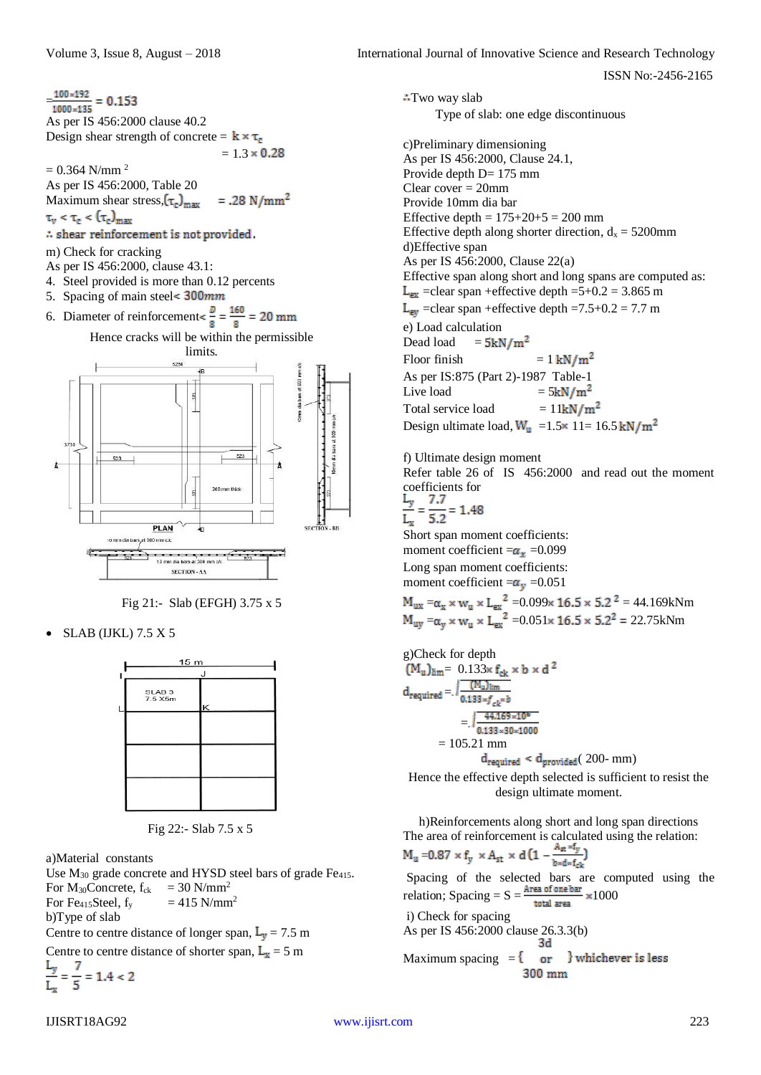Volume 3, Issue 8, August – 2018 **International Journal of Innovative Science and Research Technology** 

Type of slab: one edge discontinuous

Effective depth along shorter direction,  $d_x = 5200$ mm

 $L_{ex}$  =clear span +effective depth =5+0.2 = 3.865 m  $L_{ev}$  =clear span +effective depth =7.5+0.2 = 7.7 m

Design ultimate load,  $W_u$  =1.5 × 11= 16.5 kN/m<sup>2</sup>

Refer table 26 of IS 456:2000 and read out the moment

Effective span along short and long spans are computed as:

:Two way slab

d)Effective span

Dead load

e) Load calculation<br>Dead load =  $5kN/m^2$ 

f) Ultimate design moment

c)Preliminary dimensioning As per IS 456:2000, Clause 24.1, Provide depth D= 175 mm Clear cover = 20mm Provide 10mm dia bar

Effective depth =  $175+20+5 = 200$  mm

As per IS 456:2000, Clause 22(a)

Floor finish  $= 1 \text{ kN/m}^2$ As per IS:875 (Part 2)-1987 Table-1 Live load  $= 5kN/m^2$ Total service load  $= 11 \text{kN/m}^2$ 

ISSN No:-2456-2165

 $\frac{100 \times 192}{1000 \times 135} = 0.153$ As per IS 456:2000 clause 40.2 Design shear strength of concrete =  $\mathbf{k} \times \tau_c$  $= 1.3 \times 0.28$ 

 $= 0.364$  N/mm<sup>2</sup>

As per IS 456:2000, Table 20 Maximum shear stress,  $(\tau_c)_{\text{max}}$  $=.28 \text{ N/mm}^2$ 

 $\tau_{\rm v} < \tau_{\rm e} < (\tau_{\rm e})_{\rm max}$ 

- $\therefore$  shear reinforcement is not provided.
- m) Check for cracking
- As per IS 456:2000, clause 43.1:
- 4. Steel provided is more than 0.12 percents
- 5. Spacing of main steel< 300mm





Fig 21:- Slab (EFGH) 3.75 x 5

SLAB (IJKL) 7.5 X 5



Fig 22:- Slab 7.5 x 5

a)Material constants

Use  $M_{30}$  grade concrete and HYSD steel bars of grade Fe<sub>415</sub>. For  $M_{30}$ Concrete,  $f_{ck} = 30$  N/mm<sup>2</sup> For Fe<sub>415</sub>Steel,  $f_v$  = 415 N/mm<sup>2</sup> b)Type of slab Centre to centre distance of longer span,  $L_v = 7.5$  m

Centre to centre distance of shorter span,  $L_x = 5$  m

$$
\frac{L_y}{L_x} = \frac{7}{5} = 1.4 < 2
$$

coefficients for<br> $\frac{L_y}{L_x} = \frac{7.7}{5.2} = 1.48$  $= 1.48$  $L_x$ Short span moment coefficients: moment coefficient  $=\alpha_x = 0.099$ Long span moment coefficients: moment coefficient  $=\alpha_v = 0.051$ 

$$
M_{ux} = \alpha_x \times w_u \times L_{ex}^2 = 0.099 \times 16.5 \times 5.2^2 = 44.169 \text{kNm}
$$
  

$$
M_{uy} = \alpha_y \times w_u \times L_{ex}^2 = 0.051 \times 16.5 \times 5.2^2 = 22.75 \text{kNm}
$$

g)Check for depth  
\n
$$
(M_u)_{\text{lim}} = 0.133 \times f_{\text{ck}} \times b \times d^2
$$
\nd<sub>required</sub> =: 
$$
\sqrt{\frac{(M_u)_{\text{lim}}}{0.133 \times f_{\text{ck}} \times b}}
$$
\n
$$
= \sqrt{\frac{44.169 \times 10^6}{0.133 \times 30 \times 1000}}
$$
\n
$$
= 105.21 \text{ mm}
$$
\nd<sub>required</sub> < d<sub>provided</sub> (200- mm)  
\nHence the effective depth selected is sufficient to resi

Hence the effective depth selected is sufficient to resist the design ultimate moment.

h)Reinforcements along short and long span directions The area of reinforcement is calculated using the relation:  $M_u$  =0.87  $\times$  f<sub>y</sub>  $\times$  A<sub>st</sub>  $\times$  d (1  $-\frac{A_{st}\times f_y}{s$ 

 $b \times d \times f_{c1}$ Spacing of the selected bars are computed using the relation; Spacing =  $S = \frac{Area \space of \space one \space bar}{total \space area} \times 1000$ i) Check for spacing As per IS 456:2000 clause 26.3.3(b)

Maximum spacing = 
$$
\{ \text{or} \}
$$
 whichever is less  
300 mm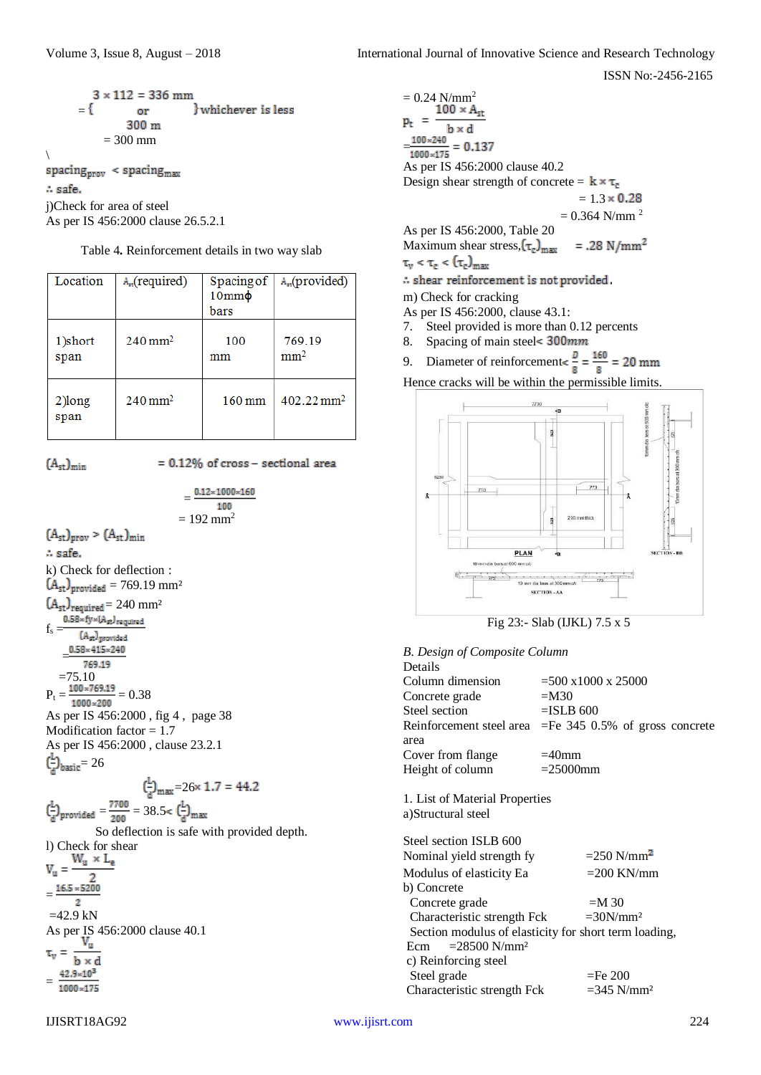$$
3 \times 112 = 336 \text{ mm}
$$
  
= { or }   
300 m  
= 300 mm  
\n  
\n
$$
\Rightarrow 300 \text{ mm}
$$
  
\n  
\n
$$
\therefore \text{safe.}
$$
  
\n
$$
\text{jCheck for area of steel}
$$
  
\nAs per IS 456:2000 clause 26.5.2.1

| Location | $A_{\rm m}$ (required) | $10mm\phi$ | Spacing of $  A_n$ (provided) |
|----------|------------------------|------------|-------------------------------|
|          |                        | bars       |                               |
| $\cdots$ | ົ່າ                    | $\sim$     |                               |

Table 4**.** Reinforcement details in two way slab

|                 |                    | bars      |                           |
|-----------------|--------------------|-----------|---------------------------|
| 1)short<br>span | $240 \text{ mm}^2$ | 100<br>mm | 769.19<br>mm <sup>2</sup> |
| 2)long<br>span  | $240 \text{ mm}^2$ | $160$ mm  | $402.22 \text{ mm}^2$     |

 $(A<sub>st</sub>)<sub>min</sub>$ 

A safe.

 $f_s = \frac{0.58 \times \text{fy} \times (A_{st})_{\text{required}}}{(1 - A_{st})^{2}}$ 

(Ast) provided

 $(A<sub>st</sub>)<sub>prov</sub> > (A<sub>st</sub>)<sub>min</sub>$ 

 $\big)$ 

 $= 0.12\%$  of cross - sectional area

 $0.12 \times 1000 \times 160$ 100  $= 192$  mm<sup>2</sup> k) Check for deflection :  $(A<sub>st</sub>)<sub>provided</sub> = 769.19 mm<sup>2</sup>$  $(A<sub>st</sub>)<sub>required</sub> = 240$  mm<sup>2</sup>

 = 769.19  $=75.10$  $P_t = \frac{100 * 769.19}{1000 * 200} = 0.38$ As per IS 456:2000 , fig 4 , page 38 Modification factor  $= 1.7$ As per IS 456:2000 , clause 23.2.1  $\left(\frac{L}{a}\right)_{\text{basic}} = 26$ 

$$
\left(\frac{L}{d}\right)_{\text{provided}} = \frac{7700}{200} = 38.5 < \left(\frac{L}{d}\right)_{\text{max}} = 26 \times 1.7 = 44.2
$$

So deflection is safe with provided depth.

l) Check for shear<br> $W_u \times L_e$  $V_{\rm u} =$  $\overline{2}$  $=$  $\frac{16.5 * 5200}{5}$  $\overline{2}$  $=42.9$  kN As per IS 456:2000 clause 40.1<br> $V_u$ τ. h x d 42.9×103 = 1000×175

 $= 0.24 \frac{\text{N/mm}^2}{100 \times A_{\text{st}}}$  $p_t$  =  $b \times d$  $\frac{100 \times 240}{1000 \times 175} = 0.137$ As per IS 456:2000 clause 40.2 Design shear strength of concrete =  $\mathbf{k} \times \tau_e$  $= 1.3 \times 0.28$  $= 0.364$  N/mm<sup>2</sup> As per IS 456:2000, Table 20

Maximum shear stress,  $(\tau_c)_{\text{max}}$  $=.28 \text{ N/mm}^2$ 

 $\tau_{\rm v} < \tau_{\rm c} < (\tau_{\rm c})_{\rm max}$ 

 $\therefore$  shear reinforcement is not provided.

m) Check for cracking

- As per IS 456:2000, clause 43.1:
- 7. Steel provided is more than 0.12 percents
- 8. Spacing of main steel< 300mm
- 9. Diameter of reinforcement $\leq \frac{D}{8} = \frac{160}{8} = 20$  mm

Hence cracks will be within the permissible limits.



Fig 23:- Slab (IJKL) 7.5 x 5

| <b>B.</b> Design of Composite Column                                           |                                                            |
|--------------------------------------------------------------------------------|------------------------------------------------------------|
| Details                                                                        |                                                            |
| Column dimension                                                               | $=500 \times 1000 \times 25000$                            |
| Concrete grade                                                                 | $=M30$                                                     |
| Steel section                                                                  | $=$ ISLB 600                                               |
| area                                                                           | Reinforcement steel area $=$ Fe 345 0.5% of gross concrete |
| Cover from flange                                                              | $=40$ mm                                                   |
| Height of column                                                               | $= 25000$ mm                                               |
| 1. List of Material Properties<br>a)Structural steel<br>Steel section ISLB 600 |                                                            |
| Nominal yield strength fy                                                      | $= 250$ N/mm <sup>2</sup>                                  |
| Modulus of elasticity Ea                                                       | $=$ 200 KN/mm                                              |
| b) Concrete                                                                    |                                                            |
| Concrete grade                                                                 | $=M$ 30                                                    |
| Characteristic strength Fck                                                    | $=30N/mm^2$                                                |
|                                                                                | Section modulus of elasticity for short term loading,      |
| Ecm = $28500$ N/mm <sup>2</sup>                                                |                                                            |
| c) Reinforcing steel                                                           |                                                            |
| Steel grade                                                                    | $=$ Fe 200                                                 |
| Characteristic strength Fck                                                    | $=$ 345 N/mm <sup>2</sup>                                  |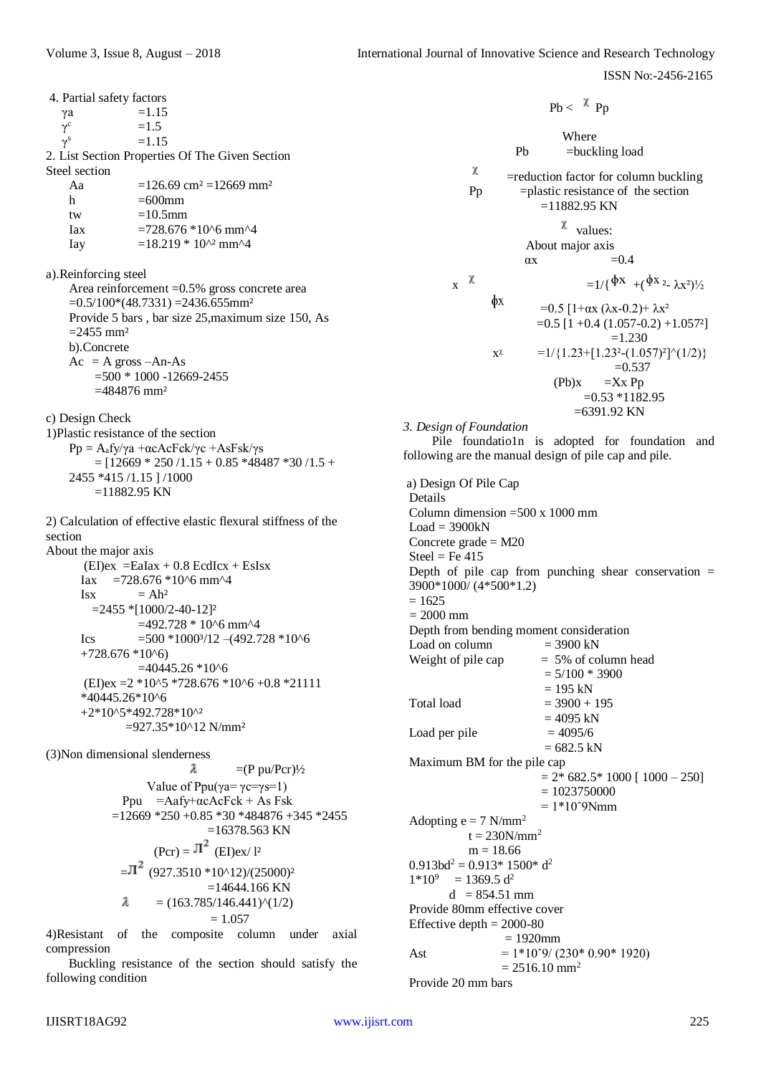4. Partial safety factors  $\gamma$ a =1.15  $=1.5$  $\gamma^{\rm c}$  $= 1.15$  $\gamma^{\rm s}$ 2. List Section Properties Of The Given Section Steel section Aa  $=126.69 \text{ cm}^2 = 12669 \text{ mm}^2$ h  $=600$ mm tw  $=10.5$ mm Iax  $=728.676*10^{6}$  mm<sup>^4</sup> Iay  $=18.219 * 10^{2} \text{ mm}^4$ a).Reinforcing steel Area reinforcement =0.5% gross concrete area  $=0.5/100*(48.7331) = 2436.655$ mm<sup>2</sup> Provide 5 bars , bar size 25,maximum size 150, As  $=$  2455 mm<sup>2</sup> b).Concrete  $Ac = A \r{ \text{cross} - An-As }$  $=500 * 1000 - 12669 - 2455$  $=484876$  mm<sup>2</sup> c) Design Check 1)Plastic resistance of the section Pp =  $A_3$ fy/γa +αcAcFck/γc +AsFsk/γs  $=$  [12669 \* 250 /1.15 + 0.85 \*48487 \*30 /1.5 + 2455 \*415 /1.15 ] /1000  $=11882.95$  KN 2) Calculation of effective elastic flexural stiffness of the section About the major axis  $(EI)ex =$ EaIax + 0.8 EcdIcx + EsIsx Iax =728.676  $*10^6$  mm<sup> $4$ </sup>  $Isx = Ah^2$  $=$ 2455  $*$ [1000/2-40-12]<sup>2</sup>  $=492.728 * 10^{6}$  mm<sup> $\text{A}$ </sup> Ics  $=500 *1000*/12 - (492.728 *10*6)$  $+728.676*10^{6}$  $=40445.26*10^{6}$  $(EI)ex = 2 *10^{6} *728.676 *10^{6} +0.8 *21111$ \*40445.26\*10^6 +2\*10^5\*492.728\*10^² =927.35\*10^12 N/mm² (3)Non dimensional slenderness  $\lambda$  $=(P \text{ pu}/P \text{cr})\frac{1}{2}$ Value of Ppu( $\gamma a = \gamma c = \gamma s = 1$ ) Ppu =Aafy+αcAcFck + As Fsk  $=12669 *250 +0.85 *30 *484876 +345 *2455$  $=16378.563$  KN  $(Per) = \overline{\Pi}^2$  (EI)ex/ l<sup>2</sup>  $=\pi^2$  (927.3510 \*10^12)/(25000)<sup>2</sup>  $=14644.166$  KN λ  $= (163.785/146.441)^{(1/2)}$  $= 1.057$ 

4)Resistant of the composite column under axial compression

 Buckling resistance of the section should satisfy the following condition

Where Pb =buckling load  $\chi$  =reduction factor for column buckling  $Pp =p$  =plastic resistance of the section  $=11882.95$  KN  $\chi$  values: About major axis  $\alpha x = 0.4$ x  $x = 1/\{\Phi x + (\Phi x^2 - \lambda x^2)/2\}$ фx =0.5  $[1+\alpha x (\lambda x-0.2)+\lambda x^2]$  $=0.5$  [1 +0.4 (1.057-0.2) +1.057<sup>2</sup>]  $=1.230$  $x^{\chi}$  =1/{1.23+[1.23<sup>2</sup>-(1.057)<sup>2</sup>]^(1/2)}  $=0.537$  $(Pb)x = Xx$  Pp  $=0.53 *1182.95$ =6391.92 KN

 $Ph < \lambda p_n$ 

*3. Design of Foundation*

Pile foundatio1n is adopted for foundation and following are the manual design of pile cap and pile.

a) Design Of Pile Cap Details Column dimension  $=500 \times 1000$  mm  $Load = 3900kN$ Concrete grade  $= M20$  $Steel = Fe 415$ Depth of pile cap from punching shear conservation  $=$ 3900\*1000/ (4\*500\*1.2)  $= 1625$  $= 2000$  mm Depth from bending moment consideration Load on column  $= 3900 \text{ kN}$ Weight of pile cap  $= 5\%$  of column head  $= 5/100 * 3900$  $= 195$  kN Total load  $= 3900 + 195$  $= 4095$  kN Load per pile  $= 4095/6$  $= 682.5$  kN Maximum BM for the pile cap  $= 2* 682.5* 1000 [1000 - 250]$  $= 1023750000$  $= 1*10°9Nmm$ Adopting  $e = 7$  N/mm<sup>2</sup>  $t = 230N/mm^2$  $m = 18.66$  $0.913<sup>2</sup> = 0.913*1500* d<sup>2</sup>$  $1*10^9$  $= 1369.5 d^2$  $d = 854.51$  mm Provide 80mm effective cover Effective depth  $= 2000-80$  = 1920mm Ast  $= 1*10°9/ (230*0.90*1920)$  $= 2516.10$  mm<sup>2</sup> Provide 20 mm bars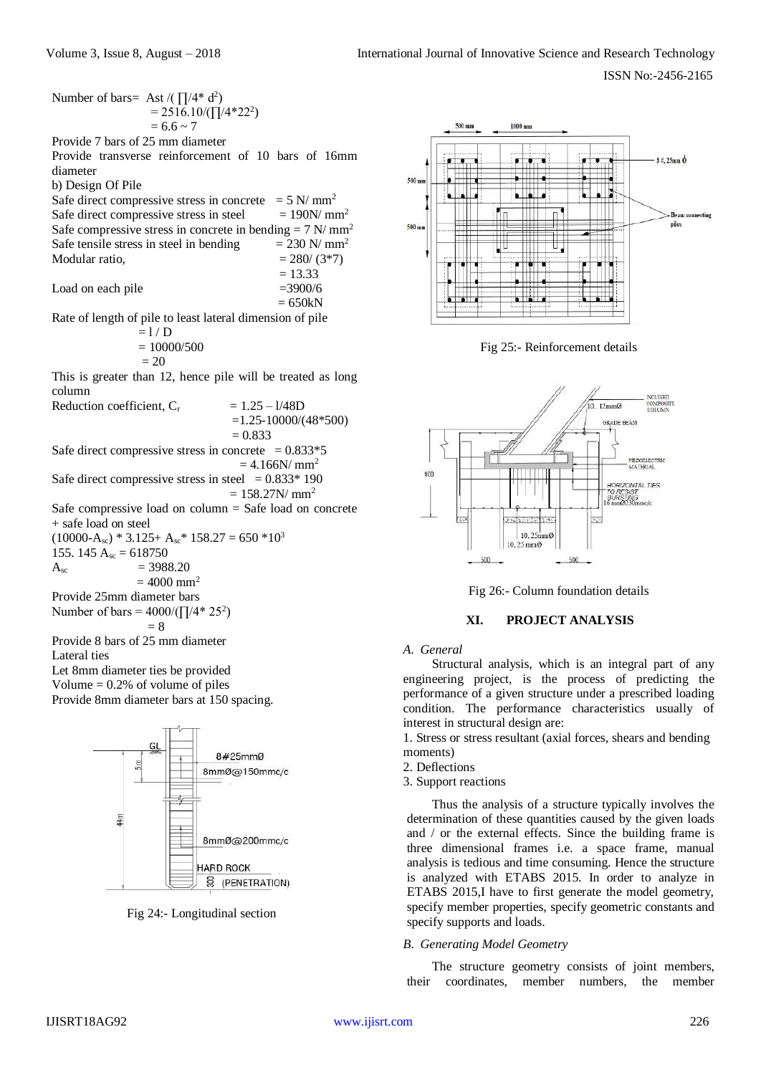Number of bars= Ast /( $\prod_{1}^{4*} d^2$ )  $= 2516.10/(\prod/4*22^2)$  $= 6.6 \sim 7$ Provide 7 bars of 25 mm diameter Provide transverse reinforcement of 10 bars of 16mm diameter b) Design Of Pile Safe direct compressive stress in concrete  $= 5$  N/ mm<sup>2</sup> Safe direct compressive stress in steel  $= 190N/mm^2$ Safe compressive stress in concrete in bending  $= 7$  N/mm<sup>2</sup> Safe tensile stress in steel in bending  $= 230$  N/ mm<sup>2</sup> Modular ratio,  $= 280/(3*7)$  $= 13.33$ Load on each pile  $=3900/6$  $= 650kN$ Rate of length of pile to least lateral dimension of pile  $= 1/D$  $= 10000/500$  $= 20$ This is greater than 12, hence pile will be treated as long column Reduction coefficient,  $C_r$  = 1.25 – 1/48D =1.25-10000/(48\*500)  $= 0.833$ Safe direct compressive stress in concrete  $= 0.833*5$  $= 4.166$ N/ mm<sup>2</sup> Safe direct compressive stress in steel  $= 0.833*190$  $= 158.27$ N/ mm<sup>2</sup> Safe compressive load on column = Safe load on concrete + safe load on steel  $(10000-A_{sc}) * 3.125+A_{sc} * 158.27 = 650 *10<sup>3</sup>$ 155. 145  $A_{sc} = 618750$  $A_{\rm sc}$  = 3988.20  $= 4000$  mm<sup>2</sup> Provide 25mm diameter bars Number of bars =  $4000/(\sqrt{1/4} \cdot 25^2)$  $= 8$ Provide 8 bars of 25 mm diameter Lateral ties Let 8mm diameter ties be provided Volume  $= 0.2\%$  of volume of piles Provide 8mm diameter bars at 150 spacing. 8#25mmØ  $\frac{1}{2}$ 8mmØ@150mmc/c

Fig 24:- Longitudinal section

8mm@@200mmc/c

S (PENETRATION)

HARD ROCK



Fig 25:- Reinforcement details



Fig 26:- Column foundation details

# **XI. PROJECT ANALYSIS**

*A. General*

Structural analysis, which is an integral part of any engineering project, is the process of predicting the performance of a given structure under a prescribed loading condition. The performance characteristics usually of interest in structural design are:

1. Stress or stress resultant (axial forces, shears and bending moments)

- 2. Deflections
- 3. Support reactions

Thus the analysis of a structure typically involves the determination of these quantities caused by the given loads and / or the external effects. Since the building frame is three dimensional frames i.e. a space frame, manual analysis is tedious and time consuming. Hence the structure is analyzed with ETABS 2015. In order to analyze in ETABS 2015,I have to first generate the model geometry, specify member properties, specify geometric constants and specify supports and loads.

#### *B. Generating Model Geometry*

The structure geometry consists of joint members, their coordinates, member numbers, the member

 $4<sub>II</sub>$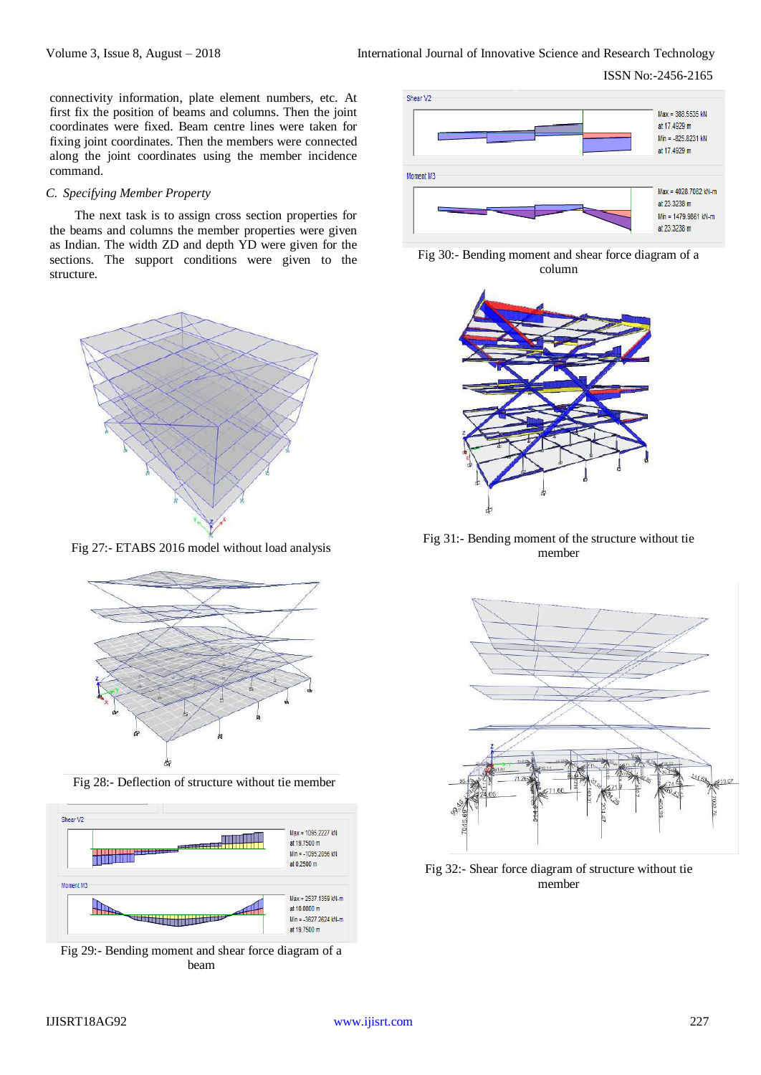connectivity information, plate element numbers, etc. At first fix the position of beams and columns. Then the joint coordinates were fixed. Beam centre lines were taken for fixing joint coordinates. Then the members were connected along the joint coordinates using the member incidence command.

#### *C. Specifying Member Property*

The next task is to assign cross section properties for the beams and columns the member properties were given as Indian. The width ZD and depth YD were given for the sections. The support conditions were given to the structure.



Fig 27:- ETABS 2016 model without load analysis



Fig 28:- Deflection of structure without tie member



Fig 29:- Bending moment and shear force diagram of a beam







Fig 31:- Bending moment of the structure without tie member



Fig 32:- Shear force diagram of structure without tie member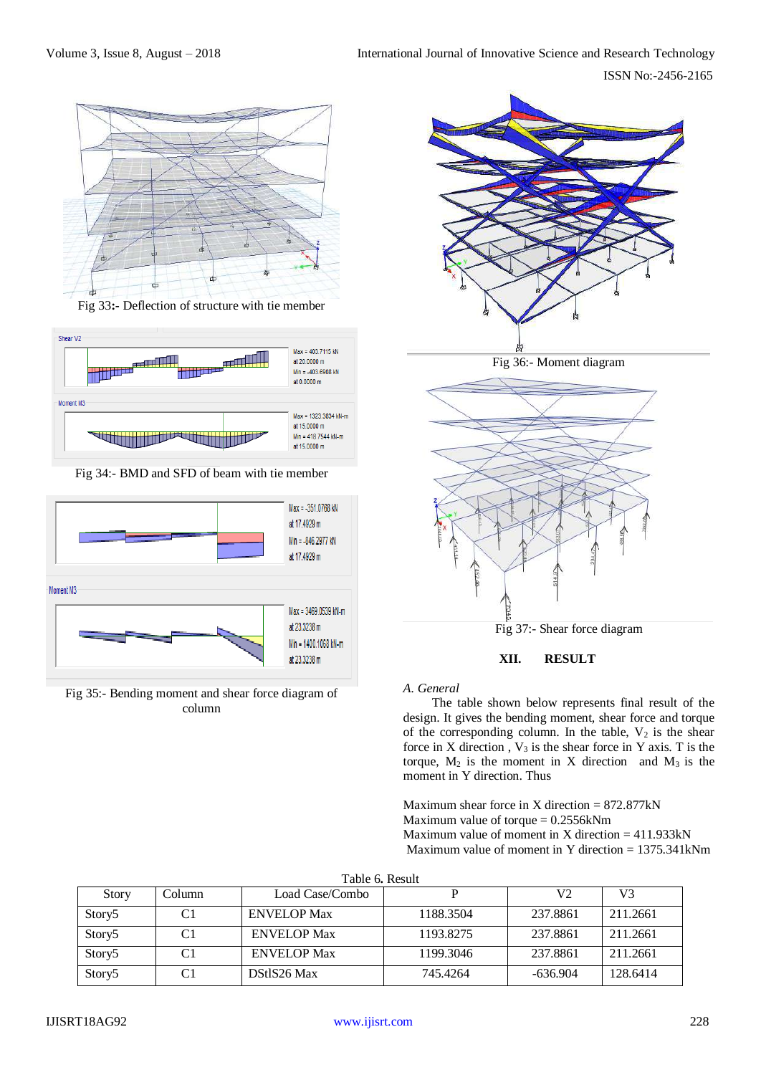

Fig 33**:-** Deflection of structure with tie member



Fig 34:- BMD and SFD of beam with tie member



Fig 35:- Bending moment and shear force diagram of column



#### *A. General*

The table shown below represents final result of the design. It gives the bending moment, shear force and torque of the corresponding column. In the table,  $V_2$  is the shear force in X direction ,  $V_3$  is the shear force in Y axis. T is the torque,  $M_2$  is the moment in X direction and  $M_3$  is the moment in Y direction. Thus

Fig 37:- Shear force diagram

**XII. RESULT**

Maximum shear force in X direction  $= 872.877 \text{kN}$ Maximum value of torque  $= 0.2556$ kNm Maximum value of moment in X direction  $= 411.933 \text{kN}$ Maximum value of moment in Y direction = 1375.341kNm

|  |  | Table 6. Result |
|--|--|-----------------|
|--|--|-----------------|

| Story              | Column | Load Case/Combo    |           | V2         | V3       |
|--------------------|--------|--------------------|-----------|------------|----------|
| Story <sub>5</sub> |        | <b>ENVELOP Max</b> | 1188.3504 | 237.8861   | 211.2661 |
| Story <sub>5</sub> |        | <b>ENVELOP Max</b> | 1193.8275 | 237.8861   | 211.2661 |
| Story <sub>5</sub> |        | <b>ENVELOP Max</b> | 1199.3046 | 237.8861   | 211.2661 |
| Story <sub>5</sub> |        | DStlS26 Max        | 745.4264  | $-636.904$ | 128.6414 |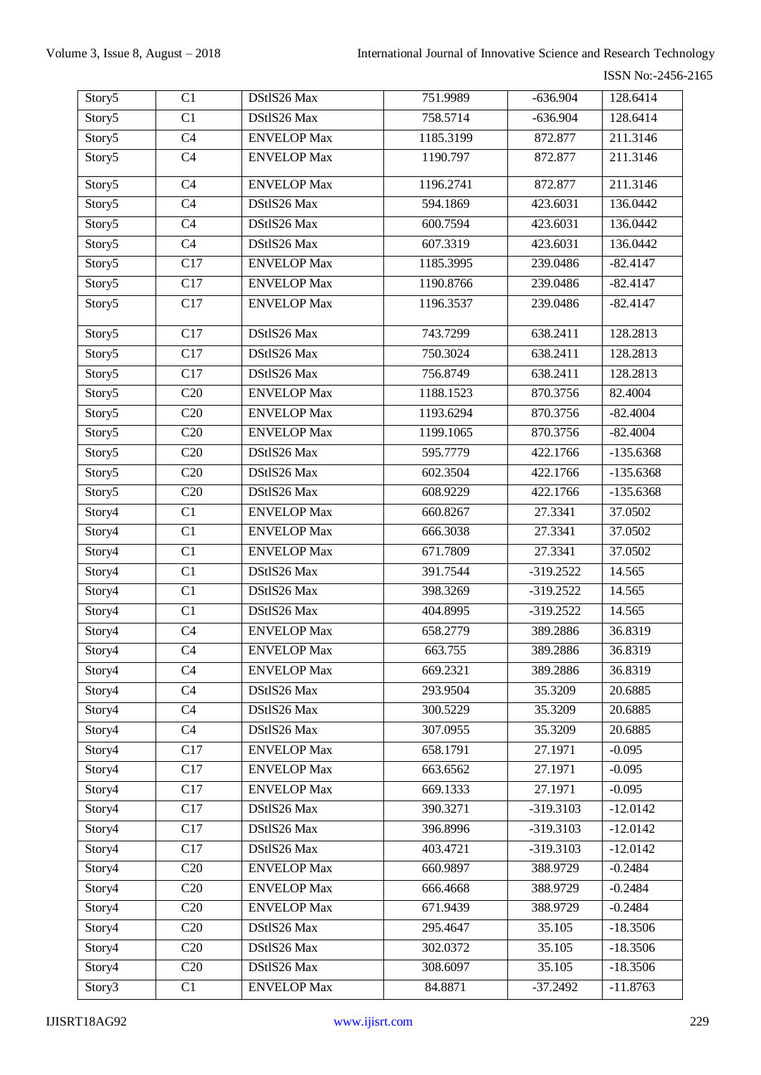| Story5             | C1               | DStlS26 Max        | 751.9989  | $-636.904$  | 128.6414    |
|--------------------|------------------|--------------------|-----------|-------------|-------------|
| Story5             | C1               | DStlS26 Max        | 758.5714  | $-636.904$  | 128.6414    |
| Story5             | $\overline{C4}$  | <b>ENVELOP</b> Max | 1185.3199 | 872.877     | 211.3146    |
| Story5             | C <sub>4</sub>   | <b>ENVELOP Max</b> | 1190.797  | 872.877     | 211.3146    |
| Story5             | C <sub>4</sub>   | <b>ENVELOP Max</b> | 1196.2741 | 872.877     | 211.3146    |
| Story <sub>5</sub> | C <sub>4</sub>   | DStlS26 Max        | 594.1869  | 423.6031    | 136.0442    |
| Story5             | $\overline{C4}$  | DStlS26 Max        | 600.7594  | 423.6031    | 136.0442    |
| Story5             | C <sub>4</sub>   | DStlS26 Max        | 607.3319  | 423.6031    | 136.0442    |
| Story5             | C17              | <b>ENVELOP Max</b> | 1185.3995 | 239.0486    | $-82.4147$  |
| Story5             | $\overline{C17}$ | <b>ENVELOP Max</b> | 1190.8766 | 239.0486    | $-82.4147$  |
| Story5             | C17              | <b>ENVELOP Max</b> | 1196.3537 | 239.0486    | $-82.4147$  |
| Story5             | C17              | DStlS26 Max        | 743.7299  | 638.2411    | 128.2813    |
| Story5             | C17              | DStlS26 Max        | 750.3024  | 638.2411    | 128.2813    |
| Story5             | C17              | DStlS26 Max        | 756.8749  | 638.2411    | 128.2813    |
| Story5             | C20              | <b>ENVELOP Max</b> | 1188.1523 | 870.3756    | 82.4004     |
| Story5             | $\overline{C20}$ | <b>ENVELOP Max</b> | 1193.6294 | 870.3756    | $-82.4004$  |
| Story5             | C20              | <b>ENVELOP Max</b> | 1199.1065 | 870.3756    | $-82.4004$  |
| Story5             | C20              | DStlS26 Max        | 595.7779  | 422.1766    | $-135.6368$ |
| Story5             | C20              | DStlS26 Max        | 602.3504  | 422.1766    | $-135.6368$ |
| Story5             | C20              | DStlS26 Max        | 608.9229  | 422.1766    | $-135.6368$ |
| Story4             | C1               | <b>ENVELOP Max</b> | 660.8267  | 27.3341     | 37.0502     |
| Story4             | C1               | <b>ENVELOP Max</b> | 666.3038  | 27.3341     | 37.0502     |
| Story4             | C1               | <b>ENVELOP Max</b> | 671.7809  | 27.3341     | 37.0502     |
| Story4             | C1               | DStlS26 Max        | 391.7544  | $-319.2522$ | 14.565      |
| Story4             | $\overline{C1}$  | DStlS26 Max        | 398.3269  | $-319.2522$ | 14.565      |
| Story4             | C1               | DStlS26 Max        | 404.8995  | $-319.2522$ | 14.565      |
| Story4             | C <sub>4</sub>   | <b>ENVELOP Max</b> | 658.2779  | 389.2886    | 36.8319     |
| Story4             | $\overline{C4}$  | <b>ENVELOP Max</b> | 663.755   | 389.2886    | 36.8319     |
| Story4             | C <sub>4</sub>   | <b>ENVELOP</b> Max | 669.2321  | 389.2886    | 36.8319     |
| Story <sub>4</sub> | C <sub>4</sub>   | DStlS26 Max        | 293.9504  | 35.3209     | 20.6885     |
| Story4             | C <sub>4</sub>   | DStlS26 Max        | 300.5229  | 35.3209     | 20.6885     |
| Story4             | C <sub>4</sub>   | DStlS26 Max        | 307.0955  | 35.3209     | 20.6885     |
| Story4             | C17              | <b>ENVELOP</b> Max | 658.1791  | 27.1971     | $-0.095$    |
| Story4             | C17              | <b>ENVELOP</b> Max | 663.6562  | 27.1971     | $-0.095$    |
| Story4             | C17              | <b>ENVELOP</b> Max | 669.1333  | 27.1971     | $-0.095$    |
| Story4             | C17              | DStlS26 Max        | 390.3271  | -319.3103   | $-12.0142$  |
| Story4             | C17              | DStlS26 Max        | 396.8996  | -319.3103   | $-12.0142$  |
| Story4             | C17              | DStlS26 Max        | 403.4721  | -319.3103   | $-12.0142$  |
| Story4             | C20              | <b>ENVELOP</b> Max | 660.9897  | 388.9729    | $-0.2484$   |
| Story4             | C20              | <b>ENVELOP</b> Max | 666.4668  | 388.9729    | $-0.2484$   |
| Story4             | C20              | <b>ENVELOP Max</b> | 671.9439  | 388.9729    | $-0.2484$   |
| Story <sub>4</sub> | C20              | DStlS26 Max        | 295.4647  | 35.105      | $-18.3506$  |
| Story <sub>4</sub> | C20              | DStlS26 Max        | 302.0372  | 35.105      | $-18.3506$  |
| Story4             | C20              | DStlS26 Max        | 308.6097  | 35.105      | $-18.3506$  |
| Story3             | C1               | <b>ENVELOP Max</b> | 84.8871   | $-37.2492$  | $-11.8763$  |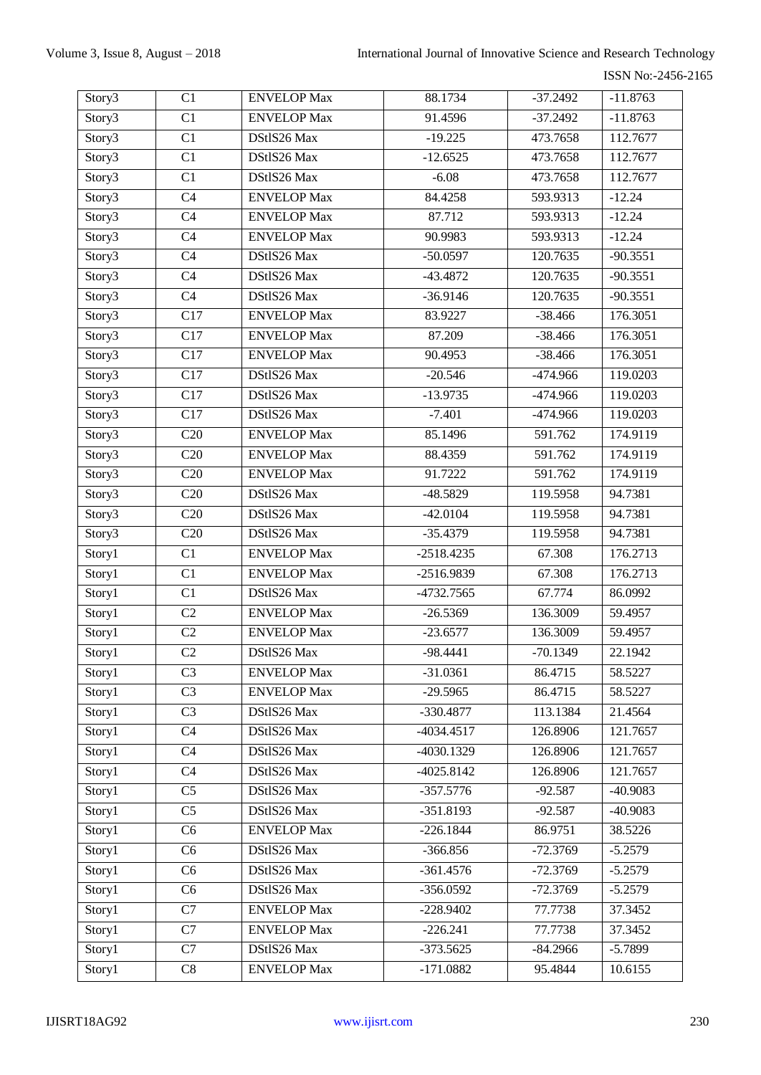| Story3             | C1               | <b>ENVELOP Max</b> | 88.1734      | $-37.2492$ | $-11.8763$ |
|--------------------|------------------|--------------------|--------------|------------|------------|
| Story3             | C1               | <b>ENVELOP Max</b> | 91.4596      | $-37.2492$ | $-11.8763$ |
| Story3             | $\overline{C1}$  | DStlS26 Max        | $-19.225$    | 473.7658   | 112.7677   |
| Story3             | C1               | DStlS26 Max        | $-12.6525$   | 473.7658   | 112.7677   |
| Story3             | C1               | DStlS26 Max        | $-6.08$      | 473.7658   | 112.7677   |
| Story3             | C <sub>4</sub>   | <b>ENVELOP Max</b> | 84.4258      | 593.9313   | $-12.24$   |
| Story <sub>3</sub> | C <sub>4</sub>   | <b>ENVELOP Max</b> | 87.712       | 593.9313   | $-12.24$   |
| Story3             | C <sub>4</sub>   | <b>ENVELOP Max</b> | 90.9983      | 593.9313   | $-12.24$   |
| Story3             | C <sub>4</sub>   | DStlS26 Max        | $-50.0597$   | 120.7635   | $-90.3551$ |
| Story3             | C <sub>4</sub>   | DStlS26 Max        | $-43.4872$   | 120.7635   | $-90.3551$ |
| Story3             | C <sub>4</sub>   | DStlS26 Max        | $-36.9146$   | 120.7635   | $-90.3551$ |
| Story3             | C17              | <b>ENVELOP Max</b> | 83.9227      | $-38.466$  | 176.3051   |
| Story3             | $\overline{C17}$ | <b>ENVELOP Max</b> | 87.209       | $-38.466$  | 176.3051   |
| Story3             | C17              | <b>ENVELOP Max</b> | 90.4953      | $-38.466$  | 176.3051   |
| Story3             | $\overline{C17}$ | DStlS26 Max        | $-20.546$    | -474.966   | 119.0203   |
| Story3             | C17              | DStlS26 Max        | $-13.9735$   | -474.966   | 119.0203   |
| Story3             | C17              | DStlS26 Max        | $-7.401$     | -474.966   | 119.0203   |
| Story3             | C20              | <b>ENVELOP Max</b> | 85.1496      | 591.762    | 174.9119   |
| Story3             | C20              | <b>ENVELOP</b> Max | 88.4359      | 591.762    | 174.9119   |
| Story3             | C20              | <b>ENVELOP Max</b> | 91.7222      | 591.762    | 174.9119   |
| Story3             | C20              | DStlS26 Max        | $-48.5829$   | 119.5958   | 94.7381    |
| Story3             | C20              | DStlS26 Max        | $-42.0104$   | 119.5958   | 94.7381    |
| Story3             | C20              | DStlS26 Max        | $-35.4379$   | 119.5958   | 94.7381    |
| Story1             | C1               | <b>ENVELOP Max</b> | $-2518.4235$ | 67.308     | 176.2713   |
| Story1             | $\overline{C1}$  | <b>ENVELOP Max</b> | $-2516.9839$ | 67.308     | 176.2713   |
| Story1             | C1               | DStlS26 Max        | $-4732.7565$ | 67.774     | 86.0992    |
| Story1             | C <sub>2</sub>   | <b>ENVELOP Max</b> | $-26.5369$   | 136.3009   | 59.4957    |
| Story1             | C <sub>2</sub>   | <b>ENVELOP Max</b> | $-23.6577$   | 136.3009   | 59.4957    |
| Story1             | $\overline{C2}$  | DStlS26 Max        | $-98.4441$   | $-70.1349$ | 22.1942    |
| Story1             | C <sub>3</sub>   | <b>ENVELOP</b> Max | $-31.0361$   | 86.4715    | 58.5227    |
| Story1             | C <sub>3</sub>   | <b>ENVELOP Max</b> | $-29.5965$   | 86.4715    | 58.5227    |
| Story1             | $\overline{C3}$  | DStlS26 Max        | -330.4877    | 113.1384   | 21.4564    |
| Story1             | C <sub>4</sub>   | DStlS26 Max        | $-4034.4517$ | 126.8906   | 121.7657   |
| Story1             | C <sub>4</sub>   | DStlS26 Max        | $-4030.1329$ | 126.8906   | 121.7657   |
| Story1             | C <sub>4</sub>   | DStlS26 Max        | $-4025.8142$ | 126.8906   | 121.7657   |
| Story1             | C <sub>5</sub>   | DStlS26 Max        | $-357.5776$  | $-92.587$  | $-40.9083$ |
| Story1             | C <sub>5</sub>   | DStlS26 Max        | $-351.8193$  | $-92.587$  | $-40.9083$ |
| Story1             | C <sub>6</sub>   | <b>ENVELOP Max</b> | $-226.1844$  | 86.9751    | 38.5226    |
| Story1             | C <sub>6</sub>   | DStlS26 Max        | $-366.856$   | $-72.3769$ | $-5.2579$  |
| Story1             | C <sub>6</sub>   | DStlS26 Max        | $-361.4576$  | $-72.3769$ | $-5.2579$  |
| Story <sub>1</sub> | C6               | DStlS26 Max        | $-356.0592$  | $-72.3769$ | $-5.2579$  |
| Story1             | C7               | <b>ENVELOP</b> Max | $-228.9402$  | 77.7738    | 37.3452    |
| Story1             | C7               | <b>ENVELOP</b> Max | $-226.241$   | 77.7738    | 37.3452    |
| Story1             | $\overline{C7}$  | DStlS26 Max        | $-373.5625$  | $-84.2966$ | $-5.7899$  |
| Story1             | $\mbox{C}8$      | <b>ENVELOP Max</b> | $-171.0882$  | 95.4844    | 10.6155    |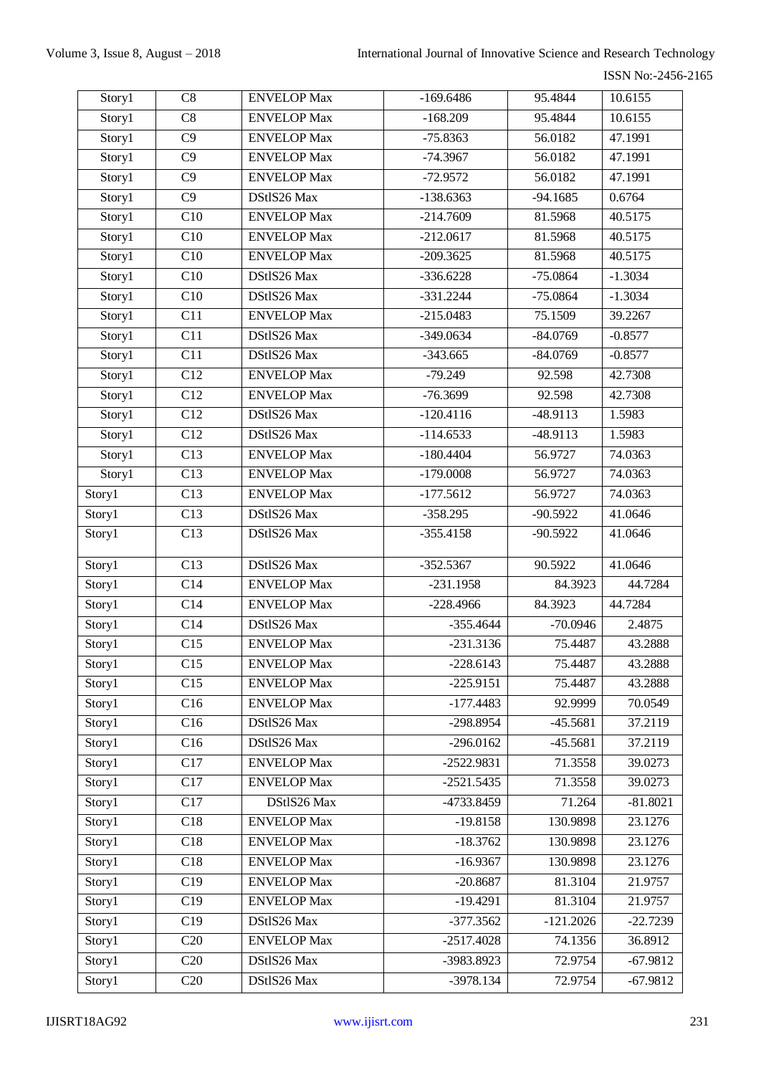| Story1             | C8               | <b>ENVELOP Max</b> | $-169.6486$  | 95.4844            | 10.6155    |
|--------------------|------------------|--------------------|--------------|--------------------|------------|
| Story1             | C8               | <b>ENVELOP Max</b> | $-168.209$   | 95.4844            |            |
| Story1             | $\overline{C9}$  | <b>ENVELOP Max</b> | $-75.8363$   | 56.0182            | 47.1991    |
| Story1             | C9               | <b>ENVELOP Max</b> | $-74.3967$   | 56.0182<br>47.1991 |            |
| Story <sub>1</sub> | C9               | <b>ENVELOP Max</b> | $-72.9572$   | 56.0182            | 47.1991    |
| Story1             | $\overline{C9}$  | DStlS26 Max        | $-138.6363$  | $-94.1685$         | 0.6764     |
| Story1             | C10              | <b>ENVELOP Max</b> | $-214.7609$  | 81.5968            | 40.5175    |
| Story1             | $\overline{C10}$ | <b>ENVELOP Max</b> | $-212.0617$  | 81.5968            | 40.5175    |
| Story1             | C10              | <b>ENVELOP Max</b> | $-209.3625$  | 81.5968            | 40.5175    |
| Story1             | C10              | DStlS26 Max        | $-336.6228$  | $-75.0864$         | $-1.3034$  |
| Story1             | $\overline{C10}$ | DStlS26 Max        | $-331.2244$  | $-75.0864$         | $-1.3034$  |
| Story1             | C11              | <b>ENVELOP Max</b> | $-215.0483$  | 75.1509            | 39.2267    |
| Story1             | C11              | DStlS26 Max        | $-349.0634$  | $-84.0769$         | $-0.8577$  |
| Story1             | C11              | DStlS26 Max        | $-343.665$   | $-84.0769$         | $-0.8577$  |
| Story1             | $\overline{C12}$ | <b>ENVELOP Max</b> | $-79.249$    | 92.598             | 42.7308    |
| Story1             | C12              | <b>ENVELOP Max</b> | $-76.3699$   | 92.598             | 42.7308    |
| Story1             | C12              | DStlS26 Max        | $-120.4116$  | $-48.9113$         | 1.5983     |
| Story1             | $\overline{C12}$ | DStlS26 Max        | $-114.6533$  | $-48.9113$         | 1.5983     |
| Story1             | C13              | <b>ENVELOP Max</b> | $-180.4404$  | 56.9727            | 74.0363    |
| Story1             | C13              | <b>ENVELOP Max</b> | $-179.0008$  | 56.9727            | 74.0363    |
| Story1             | C13              | <b>ENVELOP Max</b> | $-177.5612$  | 56.9727            | 74.0363    |
| Story1             | $\overline{C13}$ | DStlS26 Max        | $-358.295$   | $-90.5922$         | 41.0646    |
| Story1             | C13              | DStlS26 Max        | $-355.4158$  | $-90.5922$         | 41.0646    |
| Story1             | C13              | DStlS26 Max        | $-352.5367$  | 90.5922            | 41.0646    |
| Story1             | C14              | <b>ENVELOP Max</b> | $-231.1958$  | 84.3923            | 44.7284    |
| Story1             | $\overline{C14}$ | <b>ENVELOP Max</b> | $-228.4966$  | 84.3923            | 44.7284    |
| Story1             | C14              | DStlS26 Max        | $-355.4644$  | $-70.0946$         | 2.4875     |
| Story1             | C15              | <b>ENVELOP Max</b> | $-231.3136$  | 75.4487            | 43.2888    |
| Story1             | C15              | <b>ENVELOP</b> Max | $-228.6143$  | 75.4487            | 43.2888    |
| Story1             | C15              | <b>ENVELOP Max</b> | $-225.9151$  | 75.4487            | 43.2888    |
| Story1             | C16              | <b>ENVELOP</b> Max | $-177.4483$  | 92.9999            | 70.0549    |
| Story1             | C16              | DStlS26 Max        | $-298.8954$  | $-45.5681$         | 37.2119    |
| Story1             | C16              | DStlS26 Max        | $-296.0162$  | $-45.5681$         | 37.2119    |
| Story1             | C17              | <b>ENVELOP Max</b> | $-2522.9831$ | 71.3558            | 39.0273    |
| Story1             | C17              | <b>ENVELOP Max</b> | $-2521.5435$ | 71.3558            | 39.0273    |
| Story1             | C17              | DStlS26 Max        | -4733.8459   | 71.264             | $-81.8021$ |
| Story1             | C18              | <b>ENVELOP</b> Max | $-19.8158$   | 130.9898           | 23.1276    |
| Story1             | C18              | <b>ENVELOP Max</b> | $-18.3762$   | 130.9898           | 23.1276    |
| Story1             | C18              | <b>ENVELOP</b> Max | $-16.9367$   | 130.9898           | 23.1276    |
| Story1             | C19              | <b>ENVELOP Max</b> | $-20.8687$   | 81.3104            | 21.9757    |
| Story1             | C19              | <b>ENVELOP Max</b> | $-19.4291$   | 81.3104            | 21.9757    |
| Story1             | C19              | DStlS26 Max        | $-377.3562$  | $-121.2026$        | $-22.7239$ |
| Story1             | C20              | <b>ENVELOP Max</b> | $-2517.4028$ | 74.1356            | 36.8912    |
| Story1             | C20              | DStlS26 Max        | -3983.8923   | 72.9754            | $-67.9812$ |
| Story1             | $\overline{C}20$ | DStlS26 Max        | $-3978.134$  | 72.9754            | $-67.9812$ |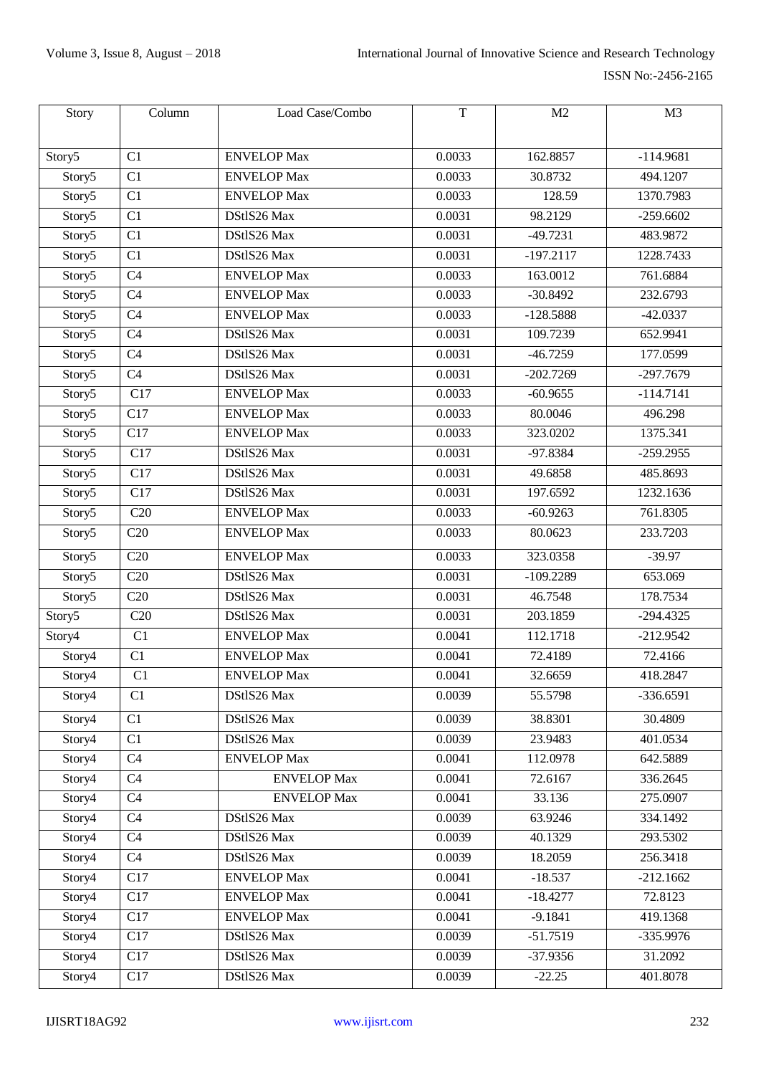| Story              | Column           | Load Case/Combo    | T      | M <sub>2</sub> | M <sub>3</sub> |
|--------------------|------------------|--------------------|--------|----------------|----------------|
|                    |                  |                    |        |                |                |
| Story5             | C <sub>1</sub>   | <b>ENVELOP Max</b> | 0.0033 | 162.8857       | $-114.9681$    |
| Story5             | C1               | <b>ENVELOP Max</b> | 0.0033 | 30.8732        | 494.1207       |
| Story5             | C <sub>1</sub>   | <b>ENVELOP Max</b> | 0.0033 | 128.59         | 1370.7983      |
| Story5             | C1               | DStlS26 Max        | 0.0031 | 98.2129        | $-259.6602$    |
| Story5             | C1               | DStlS26 Max        | 0.0031 | $-49.7231$     | 483.9872       |
| Story5             | C1               | DStlS26 Max        | 0.0031 | $-197.2117$    | 1228.7433      |
| Story5             | C <sub>4</sub>   | <b>ENVELOP</b> Max | 0.0033 | 163.0012       | 761.6884       |
| Story5             | C4               | <b>ENVELOP</b> Max | 0.0033 | $-30.8492$     | 232.6793       |
| Story5             | C <sub>4</sub>   | <b>ENVELOP Max</b> | 0.0033 | $-128.5888$    | $-42.0337$     |
| Story5             | C4               | DStlS26 Max        | 0.0031 | 109.7239       | 652.9941       |
| Story5             | C <sub>4</sub>   | DStlS26 Max        | 0.0031 | $-46.7259$     | 177.0599       |
| Story5             | C4               | DStlS26 Max        | 0.0031 | $-202.7269$    | $-297.7679$    |
| Story5             | C17              | <b>ENVELOP Max</b> | 0.0033 | $-60.9655$     | $-114.7141$    |
| Story5             | C17              | <b>ENVELOP Max</b> | 0.0033 | 80.0046        | 496.298        |
| Story5             | $\overline{C17}$ | <b>ENVELOP Max</b> | 0.0033 | 323.0202       | 1375.341       |
| Story5             | C17              | DStlS26 Max        | 0.0031 | $-97.8384$     | $-259.2955$    |
| Story5             | $\overline{C17}$ | DStlS26 Max        | 0.0031 | 49.6858        | 485.8693       |
| Story5             | $\overline{C17}$ | DStlS26 Max        | 0.0031 | 197.6592       | 1232.1636      |
| Story5             | C20              | <b>ENVELOP Max</b> | 0.0033 | $-60.9263$     | 761.8305       |
| Story5             | C20              | <b>ENVELOP Max</b> | 0.0033 | 80.0623        | 233.7203       |
| Story5             | C20              | <b>ENVELOP</b> Max | 0.0033 | 323.0358       | $-39.97$       |
| Story5             | C20              | DStlS26 Max        | 0.0031 | $-109.2289$    | 653.069        |
| Story5             | C20              | DStlS26 Max        | 0.0031 | 46.7548        | 178.7534       |
| Story5             | C20              | DStlS26 Max        | 0.0031 | 203.1859       | $-294.4325$    |
| Story4             | C1               | <b>ENVELOP Max</b> | 0.0041 | 112.1718       | $-212.9542$    |
| Story4             | C1               | <b>ENVELOP</b> Max | 0.0041 | 72.4189        | 72.4166        |
| Story4             | C <sub>1</sub>   | <b>ENVELOP Max</b> | 0.0041 | 32.6659        | 418.2847       |
| Story4             | C1               | DStlS26 Max        | 0.0039 | 55.5798        | -336.6591      |
| S <sub>tory4</sub> | C1               | DStlS26 Max        | 0.0039 | 38.8301        | 30.4809        |
| Story4             | C1               | DStlS26 Max        | 0.0039 | 23.9483        | 401.0534       |
| Story4             | C <sub>4</sub>   | <b>ENVELOP Max</b> | 0.0041 | 112.0978       | 642.5889       |
| Story4             | C <sub>4</sub>   | <b>ENVELOP</b> Max | 0.0041 | 72.6167        | 336.2645       |
| Story4             | C <sub>4</sub>   | <b>ENVELOP Max</b> | 0.0041 | 33.136         | 275.0907       |
| Story4             | C <sub>4</sub>   | DStlS26 Max        | 0.0039 | 63.9246        | 334.1492       |
| Story4             | C <sub>4</sub>   | DStlS26 Max        | 0.0039 | 40.1329        | 293.5302       |
| Story4             | C <sub>4</sub>   | DStlS26 Max        | 0.0039 | 18.2059        | 256.3418       |
| Story4             | C17              | <b>ENVELOP Max</b> | 0.0041 | $-18.537$      | $-212.1662$    |
| Story4             | C17              | <b>ENVELOP</b> Max | 0.0041 | $-18.4277$     | 72.8123        |
| Story4             | C17              | <b>ENVELOP Max</b> | 0.0041 | $-9.1841$      | 419.1368       |
| Story4             | C17              | DStlS26 Max        | 0.0039 | $-51.7519$     | -335.9976      |
| Story4             | C17              | DStlS26 Max        | 0.0039 | $-37.9356$     | 31.2092        |
| Story4             | C17              | DStlS26 Max        | 0.0039 | $-22.25$       | 401.8078       |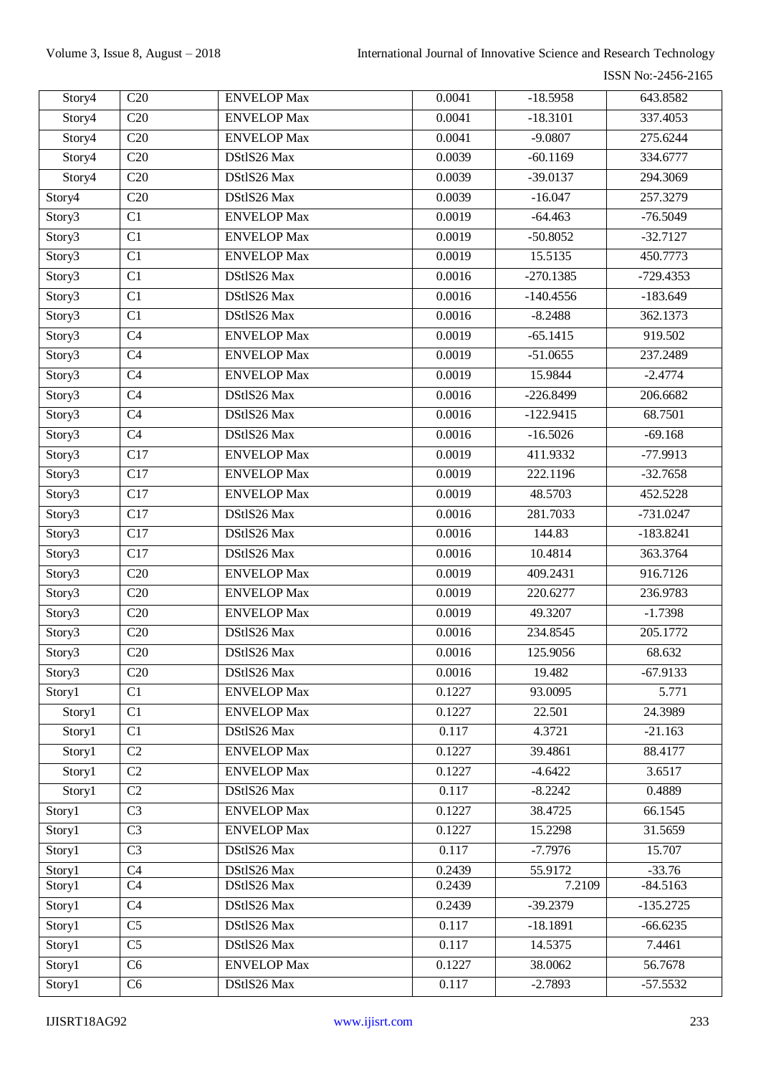ISSN No:-2456-2165

| Story4             | C20              | <b>ENVELOP Max</b> | 0.0041 | $-18.5958$  | 643.8582    |
|--------------------|------------------|--------------------|--------|-------------|-------------|
| Story4             | C20              | <b>ENVELOP Max</b> | 0.0041 | $-18.3101$  | 337.4053    |
| Story4             | C20              | <b>ENVELOP Max</b> | 0.0041 | $-9.0807$   | 275.6244    |
| Story4             | C20              | DStlS26 Max        | 0.0039 | $-60.1169$  | 334.6777    |
| Story4             | $\overline{C20}$ | DStlS26 Max        | 0.0039 | $-39.0137$  | 294.3069    |
| Story4             | C20              | DStlS26 Max        | 0.0039 | $-16.047$   | 257.3279    |
| Story3             | C1               | <b>ENVELOP Max</b> | 0.0019 | $-64.463$   | $-76.5049$  |
| Story3             | C1               | <b>ENVELOP Max</b> | 0.0019 | $-50.8052$  | $-32.7127$  |
| Story3             | C1               | <b>ENVELOP</b> Max | 0.0019 | 15.5135     | 450.7773    |
| Story3             | C1               | DStlS26 Max        | 0.0016 | $-270.1385$ | $-729.4353$ |
| Story3             | C1               | DStlS26 Max        | 0.0016 | $-140.4556$ | $-183.649$  |
| Story3             | C1               | DStlS26 Max        | 0.0016 | $-8.2488$   | 362.1373    |
| Story3             | C <sub>4</sub>   | <b>ENVELOP Max</b> | 0.0019 | $-65.1415$  | 919.502     |
| Story <sub>3</sub> | C <sub>4</sub>   | <b>ENVELOP Max</b> | 0.0019 | $-51.0655$  | 237.2489    |
| Story3             | C <sub>4</sub>   | <b>ENVELOP Max</b> | 0.0019 | 15.9844     | $-2.4774$   |
| Story3             | C <sub>4</sub>   | DStlS26 Max        | 0.0016 | $-226.8499$ | 206.6682    |
| Story3             | C <sub>4</sub>   | DStlS26 Max        | 0.0016 | $-122.9415$ | 68.7501     |
| Story3             | C <sub>4</sub>   | DStlS26 Max        | 0.0016 | $-16.5026$  | $-69.168$   |
| Story3             | C17              | <b>ENVELOP</b> Max | 0.0019 | 411.9332    | -77.9913    |
| Story3             | C17              | <b>ENVELOP Max</b> | 0.0019 | 222.1196    | $-32.7658$  |
| Story3             | C17              | <b>ENVELOP Max</b> | 0.0019 | 48.5703     | 452.5228    |
| Story3             | $\overline{C17}$ | DStlS26 Max        | 0.0016 | 281.7033    | $-731.0247$ |
| Story3             | C17              | DStlS26 Max        | 0.0016 | 144.83      | $-183.8241$ |
| Story3             | $\overline{C17}$ | DStlS26 Max        | 0.0016 | 10.4814     | 363.3764    |
| Story3             | C20              | <b>ENVELOP</b> Max | 0.0019 | 409.2431    | 916.7126    |
| Story3             | C20              | <b>ENVELOP</b> Max | 0.0019 | 220.6277    | 236.9783    |
| Story3             | C20              | <b>ENVELOP Max</b> | 0.0019 | 49.3207     | $-1.7398$   |
| Story3             | C20              | DStlS26 Max        | 0.0016 | 234.8545    | 205.1772    |
| Story3             | C20              | DStlS26 Max        | 0.0016 | 125.9056    | 68.632      |
| Story3             | C20              | DStlS26 Max        | 0.0016 | 19.482      | $-67.9133$  |
| Story1             | C1               | <b>ENVELOP</b> Max | 0.1227 | 93.0095     | 5.771       |
| Story1             | C1               | <b>ENVELOP Max</b> | 0.1227 | 22.501      | 24.3989     |
| Story1             | C1               | DStlS26 Max        | 0.117  | 4.3721      | $-21.163$   |
| Story1             | C2               | <b>ENVELOP</b> Max | 0.1227 | 39.4861     | 88.4177     |
| Story1             | C <sub>2</sub>   | <b>ENVELOP Max</b> | 0.1227 | $-4.6422$   | 3.6517      |
| Story1             | C <sub>2</sub>   | DStlS26 Max        | 0.117  | $-8.2242$   | 0.4889      |
| Story1             | C <sub>3</sub>   | <b>ENVELOP</b> Max | 0.1227 | 38.4725     | 66.1545     |
| Story1             | C <sub>3</sub>   | <b>ENVELOP</b> Max | 0.1227 | 15.2298     | 31.5659     |
| Story1             | C <sub>3</sub>   | DStlS26 Max        | 0.117  | $-7.7976$   | 15.707      |
| Story1             | C <sub>4</sub>   | DStlS26 Max        | 0.2439 | 55.9172     | $-33.76$    |
| Story1             | C <sub>4</sub>   | DStlS26 Max        | 0.2439 | 7.2109      | $-84.5163$  |
| Story1             | C <sub>4</sub>   | DStlS26 Max        | 0.2439 | $-39.2379$  | $-135.2725$ |
| Story1             | C <sub>5</sub>   | DStlS26 Max        | 0.117  | $-18.1891$  | $-66.6235$  |
| Story1             | C <sub>5</sub>   | DStlS26 Max        | 0.117  | 14.5375     | 7.4461      |
| Story1             | C <sub>6</sub>   | <b>ENVELOP</b> Max | 0.1227 | 38.0062     | 56.7678     |
| Story1             | C <sub>6</sub>   | DStlS26 Max        | 0.117  | $-2.7893$   | $-57.5532$  |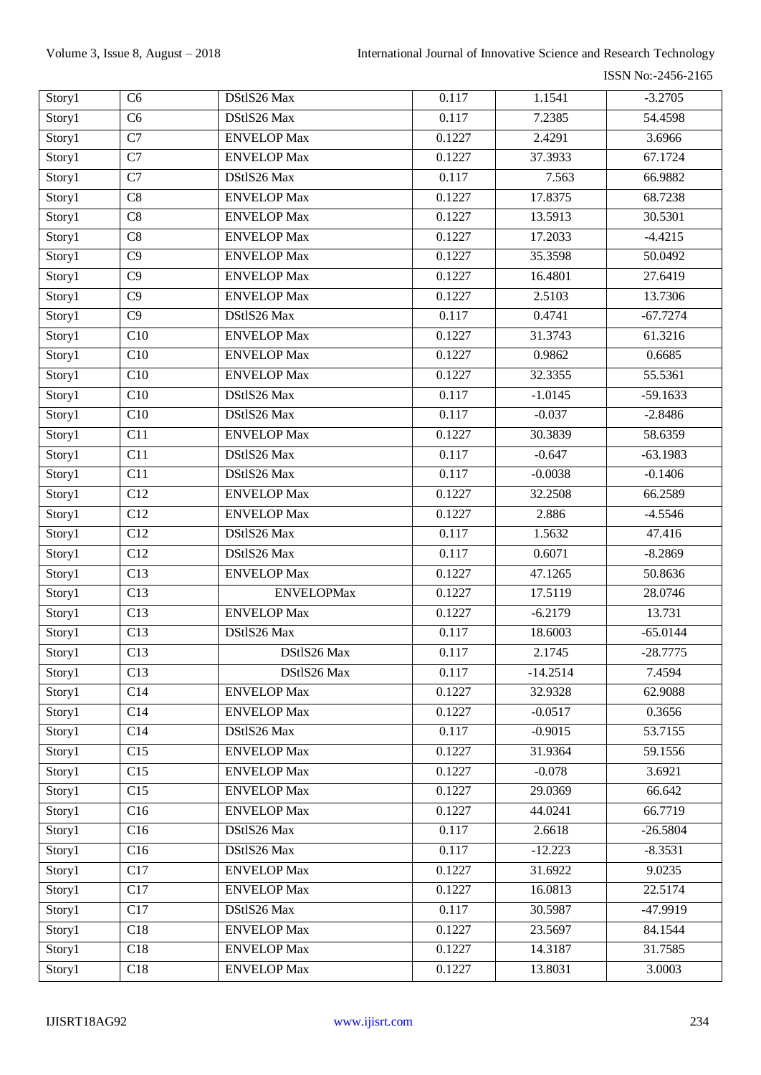ISSN No:-2456-2165

| Story1 | C <sub>6</sub>   | DStlS26 Max        | 0.117  | 1.1541     | $-3.2705$  |
|--------|------------------|--------------------|--------|------------|------------|
| Story1 | C6               | DStlS26 Max        | 0.117  | 7.2385     | 54.4598    |
| Story1 | C7               | <b>ENVELOP Max</b> | 0.1227 | 2.4291     | 3.6966     |
| Story1 | $\overline{C7}$  | <b>ENVELOP Max</b> | 0.1227 | 37.3933    | 67.1724    |
| Story1 | C7               | DStlS26 Max        | 0.117  | 7.563      | 66.9882    |
| Story1 | C8               | <b>ENVELOP Max</b> | 0.1227 | 17.8375    | 68.7238    |
| Story1 | $\overline{C8}$  | <b>ENVELOP Max</b> | 0.1227 | 13.5913    | 30.5301    |
| Story1 | C8               | <b>ENVELOP Max</b> | 0.1227 | 17.2033    | $-4.4215$  |
| Story1 | C9               | <b>ENVELOP</b> Max | 0.1227 | 35.3598    | 50.0492    |
| Story1 | C9               | <b>ENVELOP Max</b> | 0.1227 | 16.4801    | 27.6419    |
| Story1 | C9               | <b>ENVELOP Max</b> | 0.1227 | 2.5103     | 13.7306    |
| Story1 | $\overline{C9}$  | DStlS26 Max        | 0.117  | 0.4741     | $-67.7274$ |
| Story1 | C10              | <b>ENVELOP Max</b> | 0.1227 | 31.3743    | 61.3216    |
| Story1 | C10              | <b>ENVELOP Max</b> | 0.1227 | 0.9862     | 0.6685     |
| Story1 | C10              | <b>ENVELOP Max</b> | 0.1227 | 32.3355    | 55.5361    |
| Story1 | C10              | DStlS26 Max        | 0.117  | $-1.0145$  | $-59.1633$ |
| Story1 | C10              | DStlS26 Max        | 0.117  | $-0.037$   | $-2.8486$  |
| Story1 | C11              | <b>ENVELOP Max</b> | 0.1227 | 30.3839    | 58.6359    |
| Story1 | $\overline{C11}$ | DStlS26 Max        | 0.117  | $-0.647$   | $-63.1983$ |
| Story1 | C11              | DStlS26 Max        | 0.117  | $-0.0038$  | $-0.1406$  |
| Story1 | C12              | <b>ENVELOP Max</b> | 0.1227 | 32.2508    | 66.2589    |
| Story1 | C12              | <b>ENVELOP Max</b> | 0.1227 | 2.886      | $-4.5546$  |
| Story1 | C12              | DStlS26 Max        | 0.117  | 1.5632     | 47.416     |
| Story1 | $\overline{C12}$ | DStlS26 Max        | 0.117  | 0.6071     | $-8.2869$  |
| Story1 | C13              | <b>ENVELOP Max</b> | 0.1227 | 47.1265    | 50.8636    |
| Story1 | C13              | <b>ENVELOPMax</b>  | 0.1227 | 17.5119    | 28.0746    |
| Story1 | C13              | <b>ENVELOP Max</b> | 0.1227 | $-6.2179$  | 13.731     |
| Story1 | C13              | DStlS26 Max        | 0.117  | 18.6003    | $-65.0144$ |
| Story1 | C13              | DStlS26 Max        | 0.117  | 2.1745     | $-28.7775$ |
| Story1 | C13              | DStlS26 Max        | 0.117  | $-14.2514$ | 7.4594     |
| Story1 | C14              | <b>ENVELOP</b> Max | 0.1227 | 32.9328    | 62.9088    |
| Story1 | C14              | <b>ENVELOP Max</b> | 0.1227 | $-0.0517$  | 0.3656     |
| Story1 | C14              | DStlS26 Max        | 0.117  | $-0.9015$  | 53.7155    |
| Story1 | C15              | <b>ENVELOP</b> Max | 0.1227 | 31.9364    | 59.1556    |
| Story1 | C15              | <b>ENVELOP</b> Max | 0.1227 | $-0.078$   | 3.6921     |
| Story1 | C15              | <b>ENVELOP</b> Max | 0.1227 | 29.0369    | 66.642     |
| Story1 | C16              | <b>ENVELOP</b> Max | 0.1227 | 44.0241    | 66.7719    |
| Story1 | C16              | DStlS26 Max        | 0.117  | 2.6618     | $-26.5804$ |
| Story1 | C16              | DStlS26 Max        | 0.117  | $-12.223$  | $-8.3531$  |
| Story1 | C17              | <b>ENVELOP</b> Max | 0.1227 | 31.6922    | 9.0235     |
| Story1 | C17              | <b>ENVELOP</b> Max | 0.1227 | 16.0813    | 22.5174    |
| Story1 | C17              | DStlS26 Max        | 0.117  | 30.5987    | $-47.9919$ |
| Story1 | C18              | <b>ENVELOP</b> Max | 0.1227 | 23.5697    | 84.1544    |
| Story1 | C18              | <b>ENVELOP</b> Max | 0.1227 | 14.3187    | 31.7585    |
| Story1 | C18              | <b>ENVELOP</b> Max | 0.1227 | 13.8031    | 3.0003     |